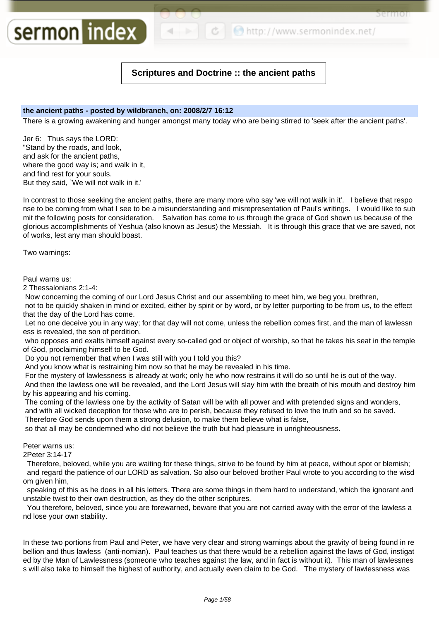**C** http://www.sermonindex.net/

3 P.I. III O.I

# **Scriptures and Doctrine :: the ancient paths**

# **the ancient paths - posted by wildbranch, on: 2008/2/7 16:12**

There is a growing awakening and hunger amongst many today who are being stirred to 'seek after the ancient paths'.

Jer 6: Thus says the LORD: "Stand by the roads, and look, and ask for the ancient paths, where the good way is; and walk in it, and find rest for your souls. But they said, `We will not walk in it.'

sermon index

In contrast to those seeking the ancient paths, there are many more who say 'we will not walk in it'. I believe that respo nse to be coming from what I see to be a misunderstanding and misrepresentation of Paul's writings. I would like to sub mit the following posts for consideration. Salvation has come to us through the grace of God shown us because of the glorious accomplishments of Yeshua (also known as Jesus) the Messiah. It is through this grace that we are saved, not of works, lest any man should boast.

Two warnings:

Paul warns us:

2 Thessalonians 2:1-4:

Now concerning the coming of our Lord Jesus Christ and our assembling to meet him, we beg you, brethren,

not to be quickly shaken in mind or excited, either by spirit or by word, or by letter purporting to be from us, to the effect that the day of the Lord has come.

Let no one deceive you in any way; for that day will not come, unless the rebellion comes first, and the man of lawlessn ess is revealed, the son of perdition,

who opposes and exalts himself against every so-called god or object of worship, so that he takes his seat in the temple of God, proclaiming himself to be God.

Do you not remember that when I was still with you I told you this?

And you know what is restraining him now so that he may be revealed in his time.

For the mystery of lawlessness is already at work; only he who now restrains it will do so until he is out of the way.

And then the lawless one will be revealed, and the Lord Jesus will slay him with the breath of his mouth and destroy him by his appearing and his coming.

The coming of the lawless one by the activity of Satan will be with all power and with pretended signs and wonders, and with all wicked deception for those who are to perish, because they refused to love the truth and so be saved.

Therefore God sends upon them a strong delusion, to make them believe what is false,

so that all may be condemned who did not believe the truth but had pleasure in unrighteousness.

Peter warns us:

2Peter 3:14-17

Therefore, beloved, while you are waiting for these things, strive to be found by him at peace, without spot or blemish; and regard the patience of our LORD as salvation. So also our beloved brother Paul wrote to you according to the wisd om given him,

speaking of this as he does in all his letters. There are some things in them hard to understand, which the ignorant and unstable twist to their own destruction, as they do the other scriptures.

You therefore, beloved, since you are forewarned, beware that you are not carried away with the error of the lawless a nd lose your own stability.

In these two portions from Paul and Peter, we have very clear and strong warnings about the gravity of being found in re bellion and thus lawless (anti-nomian). Paul teaches us that there would be a rebellion against the laws of God, instigat ed by the Man of Lawlessness (someone who teaches against the law, and in fact is without it). This man of lawlessnes s will also take to himself the highest of authority, and actually even claim to be God. The mystery of lawlessness was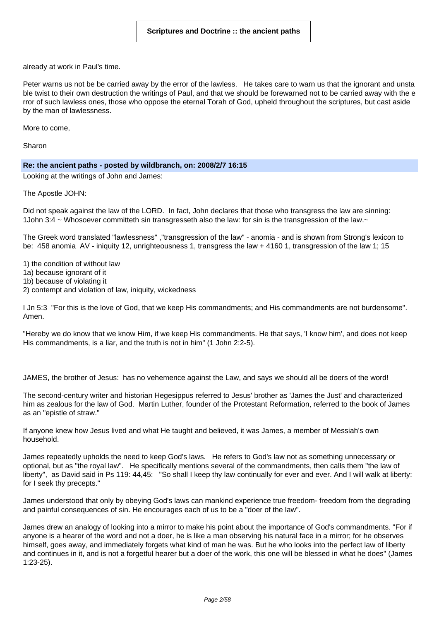already at work in Paul's time.

Peter warns us not be be carried away by the error of the lawless. He takes care to warn us that the ignorant and unsta ble twist to their own destruction the writings of Paul, and that we should be forewarned not to be carried away with the e rror of such lawless ones, those who oppose the eternal Torah of God, upheld throughout the scriptures, but cast aside by the man of lawlessness.

More to come,

Sharon

#### **Re: the ancient paths - posted by wildbranch, on: 2008/2/7 16:15**

Looking at the writings of John and James:

The Apostle JOHN:

Did not speak against the law of the LORD. In fact, John declares that those who transgress the law are sinning: 1John 3:4 ~ Whosoever committeth sin transgresseth also the law: for sin is the transgression of the law.~

The Greek word translated "lawlessness" ,"transgression of the law" - anomia - and is shown from Strong's lexicon to be: 458 anomia AV - iniquity 12, unrighteousness 1, transgress the law + 4160 1, transgression of the law 1; 15

1) the condition of without law

- 1a) because ignorant of it
- 1b) because of violating it

2) contempt and violation of law, iniquity, wickedness

I Jn 5:3 "For this is the love of God, that we keep His commandments; and His commandments are not burdensome". Amen.

"Hereby we do know that we know Him, if we keep His commandments. He that says, 'I know him', and does not keep His commandments, is a liar, and the truth is not in him" (1 John 2:2-5).

JAMES, the brother of Jesus: has no vehemence against the Law, and says we should all be doers of the word!

The second-century writer and historian Hegesippus referred to Jesus' brother as 'James the Just' and characterized him as zealous for the law of God. Martin Luther, founder of the Protestant Reformation, referred to the book of James as an "epistle of straw."

If anyone knew how Jesus lived and what He taught and believed, it was James, a member of Messiah's own household.

James repeatedly upholds the need to keep God's laws. He refers to God's law not as something unnecessary or optional, but as "the royal law". He specifically mentions several of the commandments, then calls them "the law of liberty", as David said in Ps 119: 44,45: "So shall I keep thy law continually for ever and ever. And I will walk at liberty: for I seek thy precepts."

James understood that only by obeying God's laws can mankind experience true freedom- freedom from the degrading and painful consequences of sin. He encourages each of us to be a "doer of the law".

James drew an analogy of looking into a mirror to make his point about the importance of God's commandments. "For if anyone is a hearer of the word and not a doer, he is like a man observing his natural face in a mirror; for he observes himself, goes away, and immediately forgets what kind of man he was. But he who looks into the perfect law of liberty and continues in it, and is not a forgetful hearer but a doer of the work, this one will be blessed in what he does" (James 1:23-25).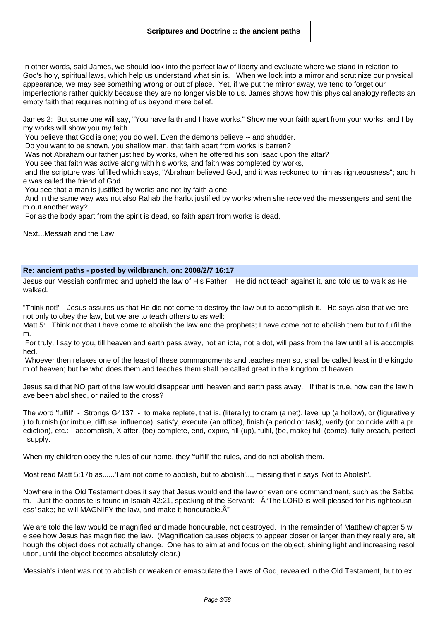In other words, said James, we should look into the perfect law of liberty and evaluate where we stand in relation to God's holy, spiritual laws, which help us understand what sin is. When we look into a mirror and scrutinize our physical appearance, we may see something wrong or out of place. Yet, if we put the mirror away, we tend to forget our imperfections rather quickly because they are no longer visible to us. James shows how this physical analogy reflects an empty faith that requires nothing of us beyond mere belief.

James 2: But some one will say, "You have faith and I have works." Show me your faith apart from your works, and I by my works will show you my faith.

You believe that God is one; you do well. Even the demons believe -- and shudder.

Do you want to be shown, you shallow man, that faith apart from works is barren?

Was not Abraham our father justified by works, when he offered his son Isaac upon the altar?

You see that faith was active along with his works, and faith was completed by works,

and the scripture was fulfilled which says, "Abraham believed God, and it was reckoned to him as righteousness"; and h e was called the friend of God.

You see that a man is justified by works and not by faith alone.

And in the same way was not also Rahab the harlot justified by works when she received the messengers and sent the m out another way?

For as the body apart from the spirit is dead, so faith apart from works is dead.

Next...Messiah and the Law

#### **Re: ancient paths - posted by wildbranch, on: 2008/2/7 16:17**

Jesus our Messiah confirmed and upheld the law of His Father. He did not teach against it, and told us to walk as He walked.

"Think not!" - Jesus assures us that He did not come to destroy the law but to accomplish it. He says also that we are not only to obey the law, but we are to teach others to as well:

Matt 5: Think not that I have come to abolish the law and the prophets; I have come not to abolish them but to fulfil the m.

For truly, I say to you, till heaven and earth pass away, not an iota, not a dot, will pass from the law until all is accomplis hed.

Whoever then relaxes one of the least of these commandments and teaches men so, shall be called least in the kingdo m of heaven; but he who does them and teaches them shall be called great in the kingdom of heaven.

Jesus said that NO part of the law would disappear until heaven and earth pass away. If that is true, how can the law h ave been abolished, or nailed to the cross?

The word 'fulfill' - Strongs G4137 - to make replete, that is, (literally) to cram (a net), level up (a hollow), or (figuratively ) to furnish (or imbue, diffuse, influence), satisfy, execute (an office), finish (a period or task), verify (or coincide with a pr ediction), etc.: - accomplish, X after, (be) complete, end, expire, fill (up), fulfil, (be, make) full (come), fully preach, perfect , supply.

When my children obey the rules of our home, they 'fulfill' the rules, and do not abolish them.

Most read Matt 5:17b as......'I am not come to abolish, but to abolish'..., missing that it says 'Not to Abolish'.

Nowhere in the Old Testament does it say that Jesus would end the law or even one commandment, such as the Sabba th. Just the opposite is found in Isaiah 42:21, speaking of the Servant:  $\hat{A}$ "The LORD is well pleased for his righteousn ess' sake; he will MAGNIFY the law, and make it honourable. $\hat{A}$ "

We are told the law would be magnified and made honourable, not destroyed. In the remainder of Matthew chapter 5 w e see how Jesus has magnified the law. (Magnification causes objects to appear closer or larger than they really are, alt hough the object does not actually change. One has to aim at and focus on the object, shining light and increasing resol ution, until the object becomes absolutely clear.)

Messiah's intent was not to abolish or weaken or emasculate the Laws of God, revealed in the Old Testament, but to ex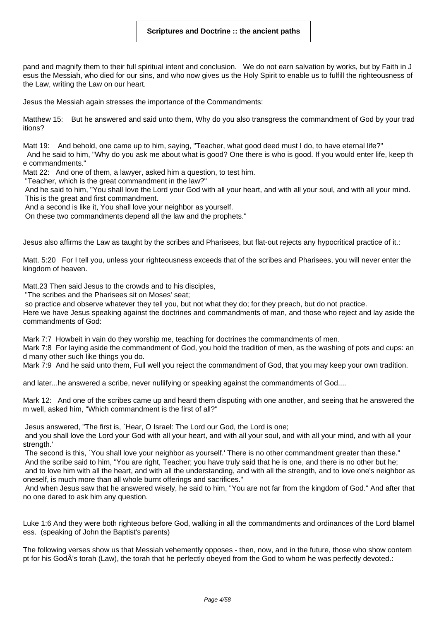pand and magnify them to their full spiritual intent and conclusion. We do not earn salvation by works, but by Faith in J esus the Messiah, who died for our sins, and who now gives us the Holy Spirit to enable us to fulfill the righteousness of the Law, writing the Law on our heart.

Jesus the Messiah again stresses the importance of the Commandments:

Matthew 15: But he answered and said unto them, Why do you also transgress the commandment of God by your trad itions?

Matt 19: And behold, one came up to him, saying, "Teacher, what good deed must I do, to have eternal life?" And he said to him, "Why do you ask me about what is good? One there is who is good. If you would enter life, keep th e commandments."

Matt 22: And one of them, a lawyer, asked him a question, to test him.

"Teacher, which is the great commandment in the law?"

And he said to him, "You shall love the Lord your God with all your heart, and with all your soul, and with all your mind. This is the great and first commandment.

And a second is like it, You shall love your neighbor as yourself.

On these two commandments depend all the law and the prophets."

Jesus also affirms the Law as taught by the scribes and Pharisees, but flat-out rejects any hypocritical practice of it.:

Matt. 5:20 For I tell you, unless your righteousness exceeds that of the scribes and Pharisees, you will never enter the kingdom of heaven.

Matt.23 Then said Jesus to the crowds and to his disciples,

"The scribes and the Pharisees sit on Moses' seat;

so practice and observe whatever they tell you, but not what they do; for they preach, but do not practice.

Here we have Jesus speaking against the doctrines and commandments of man, and those who reject and lay aside the commandments of God:

Mark 7:7 Howbeit in vain do they worship me, teaching for doctrines the commandments of men.

Mark 7:8 For laying aside the commandment of God, you hold the tradition of men, as the washing of pots and cups: an d many other such like things you do.

Mark 7:9 And he said unto them, Full well you reject the commandment of God, that you may keep your own tradition.

and later...he answered a scribe, never nullifying or speaking against the commandments of God....

Mark 12: And one of the scribes came up and heard them disputing with one another, and seeing that he answered the m well, asked him, "Which commandment is the first of all?"

Jesus answered, "The first is, `Hear, O Israel: The Lord our God, the Lord is one;

and you shall love the Lord your God with all your heart, and with all your soul, and with all your mind, and with all your strength.'

The second is this, `You shall love your neighbor as yourself.' There is no other commandment greater than these." And the scribe said to him, "You are right, Teacher; you have truly said that he is one, and there is no other but he;

and to love him with all the heart, and with all the understanding, and with all the strength, and to love one's neighbor as oneself, is much more than all whole burnt offerings and sacrifices."

And when Jesus saw that he answered wisely, he said to him, "You are not far from the kingdom of God." And after that no one dared to ask him any question.

Luke 1:6 And they were both righteous before God, walking in all the commandments and ordinances of the Lord blamel ess. (speaking of John the Baptist's parents)

The following verses show us that Messiah vehemently opposes - then, now, and in the future, those who show contem pt for his GodÂ's torah (Law), the torah that he perfectly obeyed from the God to whom he was perfectly devoted.: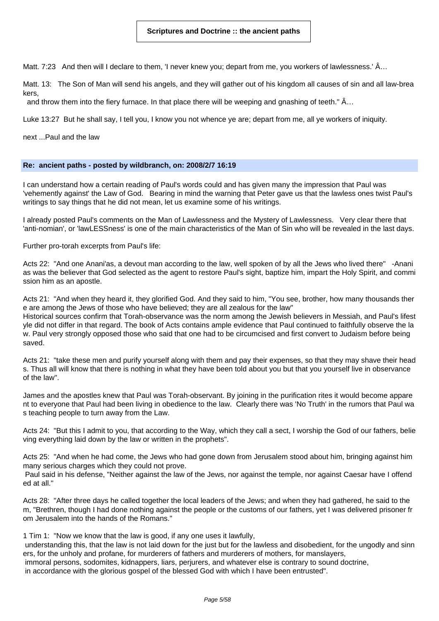Matt. 7:23 And then will I declare to them, 'I never knew you; depart from me, you workers of lawlessness.' Â…

Matt. 13: The Son of Man will send his angels, and they will gather out of his kingdom all causes of sin and all law-brea kers,

and throw them into the fiery furnace. In that place there will be weeping and gnashing of teeth."  $\hat{A}$ ...

Luke 13:27 But he shall say, I tell you, I know you not whence ye are; depart from me, all ye workers of iniquity.

next ...Paul and the law

#### **Re: ancient paths - posted by wildbranch, on: 2008/2/7 16:19**

I can understand how a certain reading of Paul's words could and has given many the impression that Paul was 'vehemently against' the Law of God. Bearing in mind the warning that Peter gave us that the lawless ones twist Paul's writings to say things that he did not mean, let us examine some of his writings.

I already posted Paul's comments on the Man of Lawlessness and the Mystery of Lawlessness. Very clear there that 'anti-nomian', or 'lawLESSness' is one of the main characteristics of the Man of Sin who will be revealed in the last days.

Further pro-torah excerpts from Paul's life:

Acts 22: "And one Anani'as, a devout man according to the law, well spoken of by all the Jews who lived there" -Anani as was the believer that God selected as the agent to restore Paul's sight, baptize him, impart the Holy Spirit, and commi ssion him as an apostle.

Acts 21: "And when they heard it, they glorified God. And they said to him, "You see, brother, how many thousands ther e are among the Jews of those who have believed; they are all zealous for the law"

Historical sources confirm that Torah-observance was the norm among the Jewish believers in Messiah, and Paul's lifest yle did not differ in that regard. The book of Acts contains ample evidence that Paul continued to faithfully observe the la w. Paul very strongly opposed those who said that one had to be circumcised and first convert to Judaism before being saved.

Acts 21: "take these men and purify yourself along with them and pay their expenses, so that they may shave their head s. Thus all will know that there is nothing in what they have been told about you but that you yourself live in observance of the law".

James and the apostles knew that Paul was Torah-observant. By joining in the purification rites it would become appare nt to everyone that Paul had been living in obedience to the law. Clearly there was 'No Truth' in the rumors that Paul wa s teaching people to turn away from the Law.

Acts 24: "But this I admit to you, that according to the Way, which they call a sect, I worship the God of our fathers, belie ving everything laid down by the law or written in the prophets".

Acts 25: "And when he had come, the Jews who had gone down from Jerusalem stood about him, bringing against him many serious charges which they could not prove.

Paul said in his defense, "Neither against the law of the Jews, nor against the temple, nor against Caesar have I offend ed at all."

Acts 28: "After three days he called together the local leaders of the Jews; and when they had gathered, he said to the m, "Brethren, though I had done nothing against the people or the customs of our fathers, yet I was delivered prisoner fr om Jerusalem into the hands of the Romans."

1 Tim 1: "Now we know that the law is good, if any one uses it lawfully,

understanding this, that the law is not laid down for the just but for the lawless and disobedient, for the ungodly and sinn ers, for the unholy and profane, for murderers of fathers and murderers of mothers, for manslayers, immoral persons, sodomites, kidnappers, liars, perjurers, and whatever else is contrary to sound doctrine,

in accordance with the glorious gospel of the blessed God with which I have been entrusted".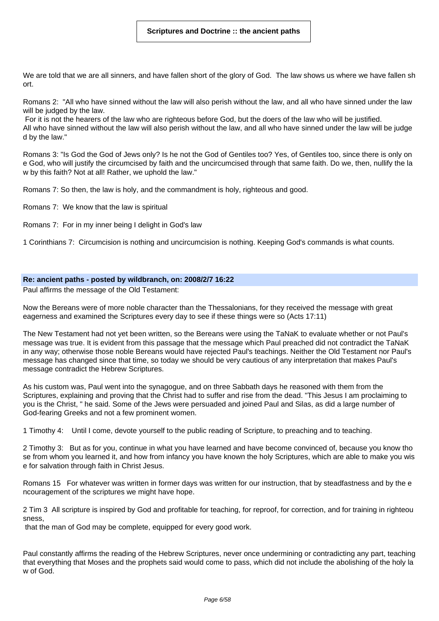We are told that we are all sinners, and have fallen short of the glory of God. The law shows us where we have fallen sh ort.

Romans 2: "All who have sinned without the law will also perish without the law, and all who have sinned under the law will be judged by the law.

For it is not the hearers of the law who are righteous before God, but the doers of the law who will be justified. All who have sinned without the law will also perish without the law, and all who have sinned under the law will be judge d by the law."

Romans 3: "Is God the God of Jews only? Is he not the God of Gentiles too? Yes, of Gentiles too, since there is only on e God, who will justify the circumcised by faith and the uncircumcised through that same faith. Do we, then, nullify the la w by this faith? Not at all! Rather, we uphold the law."

Romans 7: So then, the law is holy, and the commandment is holy, righteous and good.

Romans 7: We know that the law is spiritual

Romans 7: For in my inner being I delight in God's law

1 Corinthians 7: Circumcision is nothing and uncircumcision is nothing. Keeping God's commands is what counts.

#### **Re: ancient paths - posted by wildbranch, on: 2008/2/7 16:22**

Paul affirms the message of the Old Testament:

Now the Bereans were of more noble character than the Thessalonians, for they received the message with great eagerness and examined the Scriptures every day to see if these things were so (Acts 17:11)

The New Testament had not yet been written, so the Bereans were using the TaNaK to evaluate whether or not Paul's message was true. It is evident from this passage that the message which Paul preached did not contradict the TaNaK in any way; otherwise those noble Bereans would have rejected Paul's teachings. Neither the Old Testament nor Paul's message has changed since that time, so today we should be very cautious of any interpretation that makes Paul's message contradict the Hebrew Scriptures.

As his custom was, Paul went into the synagogue, and on three Sabbath days he reasoned with them from the Scriptures, explaining and proving that the Christ had to suffer and rise from the dead. "This Jesus I am proclaiming to you is the Christ, " he said. Some of the Jews were persuaded and joined Paul and Silas, as did a large number of God-fearing Greeks and not a few prominent women.

1 Timothy 4: Until I come, devote yourself to the public reading of Scripture, to preaching and to teaching.

2 Timothy 3: But as for you, continue in what you have learned and have become convinced of, because you know tho se from whom you learned it, and how from infancy you have known the holy Scriptures, which are able to make you wis e for salvation through faith in Christ Jesus.

Romans 15 For whatever was written in former days was written for our instruction, that by steadfastness and by the e ncouragement of the scriptures we might have hope.

2 Tim 3 All scripture is inspired by God and profitable for teaching, for reproof, for correction, and for training in righteou sness,

that the man of God may be complete, equipped for every good work.

Paul constantly affirms the reading of the Hebrew Scriptures, never once undermining or contradicting any part, teaching that everything that Moses and the prophets said would come to pass, which did not include the abolishing of the holy la w of God.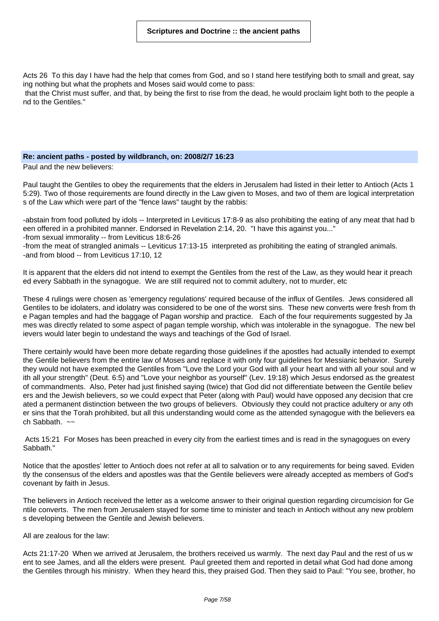Acts 26 To this day I have had the help that comes from God, and so I stand here testifying both to small and great, say ing nothing but what the prophets and Moses said would come to pass:

that the Christ must suffer, and that, by being the first to rise from the dead, he would proclaim light both to the people a nd to the Gentiles."

#### **Re: ancient paths - posted by wildbranch, on: 2008/2/7 16:23**

Paul and the new believers:

Paul taught the Gentiles to obey the requirements that the elders in Jerusalem had listed in their letter to Antioch (Acts 1 5:29). Two of those requirements are found directly in the Law given to Moses, and two of them are logical interpretation s of the Law which were part of the "fence laws" taught by the rabbis:

-abstain from food polluted by idols -- Interpreted in Leviticus 17:8-9 as also prohibiting the eating of any meat that had b een offered in a prohibited manner. Endorsed in Revelation 2:14, 20. "I have this against you..."

-from sexual immorality -- from Leviticus 18:6-26

-from the meat of strangled animals -- Leviticus 17:13-15 interpreted as prohibiting the eating of strangled animals. -and from blood -- from Leviticus 17:10, 12

It is apparent that the elders did not intend to exempt the Gentiles from the rest of the Law, as they would hear it preach ed every Sabbath in the synagogue. We are still required not to commit adultery, not to murder, etc

These 4 rulings were chosen as 'emergency regulations' required because of the influx of Gentiles. Jews considered all Gentiles to be idolaters, and idolatry was considered to be one of the worst sins. These new converts were fresh from th e Pagan temples and had the baggage of Pagan worship and practice. Each of the four requirements suggested by Ja mes was directly related to some aspect of pagan temple worship, which was intolerable in the synagogue. The new bel ievers would later begin to undestand the ways and teachings of the God of Israel.

There certainly would have been more debate regarding those guidelines if the apostles had actually intended to exempt the Gentile believers from the entire law of Moses and replace it with only four guidelines for Messianic behavior. Surely they would not have exempted the Gentiles from "Love the Lord your God with all your heart and with all your soul and w ith all your strength" (Deut. 6:5) and "Love your neighbor as yourself" (Lev. 19:18) which Jesus endorsed as the greatest of commandments. Also, Peter had just finished saying (twice) that God did not differentiate between the Gentile believ ers and the Jewish believers, so we could expect that Peter (along with Paul) would have opposed any decision that cre ated a permanent distinction between the two groups of believers. Obviously they could not practice adultery or any oth er sins that the Torah prohibited, but all this understanding would come as the attended synagogue with the believers ea ch Sabbath.  $\sim$ 

Acts 15:21 For Moses has been preached in every city from the earliest times and is read in the synagogues on every Sabbath."

Notice that the apostles' letter to Antioch does not refer at all to salvation or to any requirements for being saved. Eviden tly the consensus of the elders and apostles was that the Gentile believers were already accepted as members of God's covenant by faith in Jesus.

The believers in Antioch received the letter as a welcome answer to their original question regarding circumcision for Ge ntile converts. The men from Jerusalem stayed for some time to minister and teach in Antioch without any new problem s developing between the Gentile and Jewish believers.

All are zealous for the law:

Acts 21:17-20 When we arrived at Jerusalem, the brothers received us warmly. The next day Paul and the rest of us w ent to see James, and all the elders were present. Paul greeted them and reported in detail what God had done among the Gentiles through his ministry. When they heard this, they praised God. Then they said to Paul: "You see, brother, ho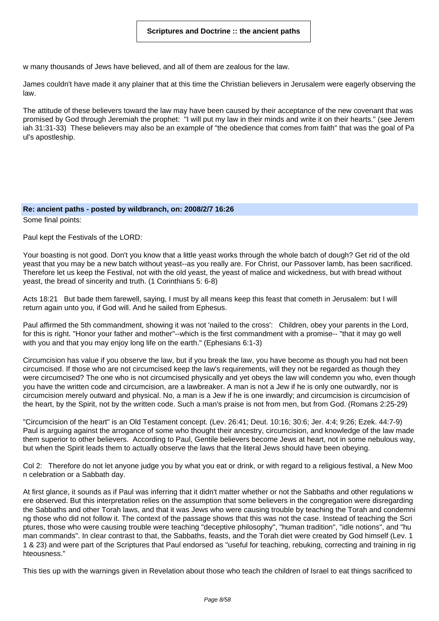w many thousands of Jews have believed, and all of them are zealous for the law.

James couldn't have made it any plainer that at this time the Christian believers in Jerusalem were eagerly observing the law.

The attitude of these believers toward the law may have been caused by their acceptance of the new covenant that was promised by God through Jeremiah the prophet: "I will put my law in their minds and write it on their hearts." (see Jerem iah 31:31-33) These believers may also be an example of "the obedience that comes from faith" that was the goal of Pa ul's apostleship.

#### **Re: ancient paths - posted by wildbranch, on: 2008/2/7 16:26**

Some final points:

Paul kept the Festivals of the LORD:

Your boasting is not good. Don't you know that a little yeast works through the whole batch of dough? Get rid of the old yeast that you may be a new batch without yeast--as you really are. For Christ, our Passover lamb, has been sacrificed. Therefore let us keep the Festival, not with the old yeast, the yeast of malice and wickedness, but with bread without yeast, the bread of sincerity and truth. (1 Corinthians 5: 6-8)

Acts 18:21 But bade them farewell, saying, I must by all means keep this feast that cometh in Jerusalem: but I will return again unto you, if God will. And he sailed from Ephesus.

Paul affirmed the 5th commandment, showing it was not 'nailed to the cross': Children, obey your parents in the Lord, for this is right. "Honor your father and mother"--which is the first commandment with a promise-- "that it may go well with you and that you may enjoy long life on the earth." (Ephesians 6:1-3)

Circumcision has value if you observe the law, but if you break the law, you have become as though you had not been circumcised. If those who are not circumcised keep the law's requirements, will they not be regarded as though they were circumcised? The one who is not circumcised physically and yet obeys the law will condemn you who, even though you have the written code and circumcision, are a lawbreaker. A man is not a Jew if he is only one outwardly, nor is circumcision merely outward and physical. No, a man is a Jew if he is one inwardly; and circumcision is circumcision of the heart, by the Spirit, not by the written code. Such a man's praise is not from men, but from God. (Romans 2:25-29)

"Circumcision of the heart" is an Old Testament concept. (Lev. 26:41; Deut. 10:16; 30:6; Jer. 4:4; 9:26; Ezek. 44:7-9) Paul is arguing against the arrogance of some who thought their ancestry, circumcision, and knowledge of the law made them superior to other believers. According to Paul, Gentile believers become Jews at heart, not in some nebulous way, but when the Spirit leads them to actually observe the laws that the literal Jews should have been obeying.

Col 2: Therefore do not let anyone judge you by what you eat or drink, or with regard to a religious festival, a New Moo n celebration or a Sabbath day.

At first glance, it sounds as if Paul was inferring that it didn't matter whether or not the Sabbaths and other regulations w ere observed. But this interpretation relies on the assumption that some believers in the congregation were disregarding the Sabbaths and other Torah laws, and that it was Jews who were causing trouble by teaching the Torah and condemni ng those who did not follow it. The context of the passage shows that this was not the case. Instead of teaching the Scri ptures, those who were causing trouble were teaching "deceptive philosophy", "human tradition", "idle notions", and "hu man commands". In clear contrast to that, the Sabbaths, feasts, and the Torah diet were created by God himself (Lev. 1 1 & 23) and were part of the Scriptures that Paul endorsed as "useful for teaching, rebuking, correcting and training in rig hteousness."

This ties up with the warnings given in Revelation about those who teach the children of Israel to eat things sacrificed to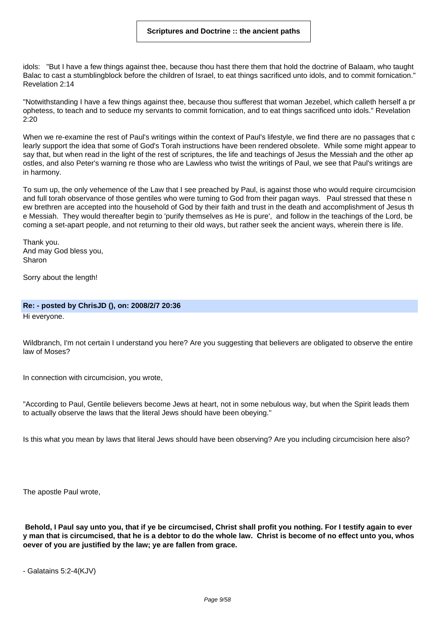idols: "But I have a few things against thee, because thou hast there them that hold the doctrine of Balaam, who taught Balac to cast a stumblingblock before the children of Israel, to eat things sacrificed unto idols, and to commit fornication." Revelation 2:14

"Notwithstanding I have a few things against thee, because thou sufferest that woman Jezebel, which calleth herself a pr ophetess, to teach and to seduce my servants to commit fornication, and to eat things sacrificed unto idols." Revelation 2:20

When we re-examine the rest of Paul's writings within the context of Paul's lifestyle, we find there are no passages that c learly support the idea that some of God's Torah instructions have been rendered obsolete. While some might appear to say that, but when read in the light of the rest of scriptures, the life and teachings of Jesus the Messiah and the other ap ostles, and also Peter's warning re those who are Lawless who twist the writings of Paul, we see that Paul's writings are in harmony.

To sum up, the only vehemence of the Law that I see preached by Paul, is against those who would require circumcision and full torah observance of those gentiles who were turning to God from their pagan ways. Paul stressed that these n ew brethren are accepted into the household of God by their faith and trust in the death and accomplishment of Jesus th e Messiah. They would thereafter begin to 'purify themselves as He is pure', and follow in the teachings of the Lord, be coming a set-apart people, and not returning to their old ways, but rather seek the ancient ways, wherein there is life.

Thank you. And may God bless you, Sharon

Sorry about the length!

#### **Re: - posted by ChrisJD (), on: 2008/2/7 20:36**

Hi everyone.

Wildbranch, I'm not certain I understand you here? Are you suggesting that believers are obligated to observe the entire law of Moses?

In connection with circumcision, you wrote,

"According to Paul, Gentile believers become Jews at heart, not in some nebulous way, but when the Spirit leads them to actually observe the laws that the literal Jews should have been obeying."

Is this what you mean by laws that literal Jews should have been observing? Are you including circumcision here also?

The apostle Paul wrote,

Behold, I Paul say unto you, that if ye be circumcised, Christ shall profit you nothing. For I testify again to ever y man that is circumcised, that he is a debtor to do the whole law. Christ is become of no effect unto you, whos **oever of you are justified by the law; ye are fallen from grace.**

```
- Galatains 5:2-4(KJV)
```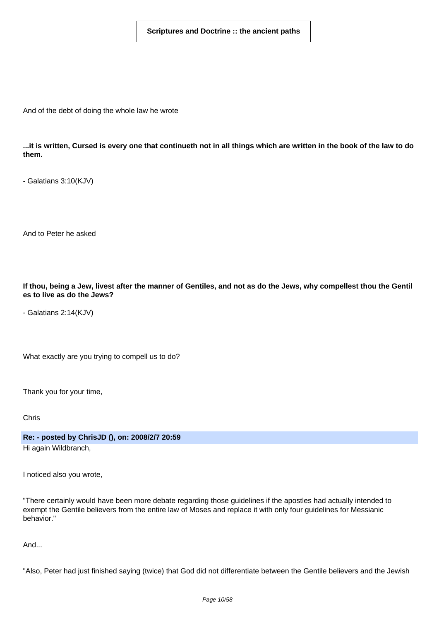And of the debt of doing the whole law he wrote

...it is written, Cursed is every one that continueth not in all things which are written in the book of the law to do **them.**

- Galatians 3:10(KJV)

And to Peter he asked

If thou, being a Jew, livest after the manner of Gentiles, and not as do the Jews, why compellest thou the Gentil **es to live as do the Jews?**

- Galatians 2:14(KJV)

What exactly are you trying to compell us to do?

Thank you for your time,

Chris

**Re: - posted by ChrisJD (), on: 2008/2/7 20:59**

Hi again Wildbranch,

I noticed also you wrote,

"There certainly would have been more debate regarding those guidelines if the apostles had actually intended to exempt the Gentile believers from the entire law of Moses and replace it with only four guidelines for Messianic behavior."

And...

"Also, Peter had just finished saying (twice) that God did not differentiate between the Gentile believers and the Jewish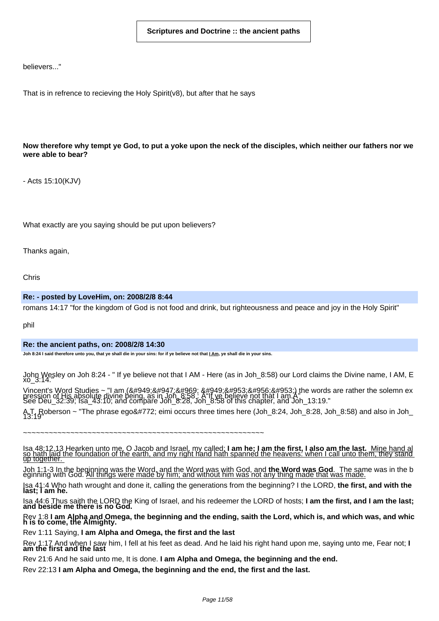believers..."

That is in refrence to recieving the Holy Spirit(v8), but after that he says

# Now therefore why tempt ye God, to put a yoke upon the neck of the disciples, which neither our fathers nor we **were able to bear?**

- Acts 15:10(KJV)

What exactly are you saying should be put upon believers?

Thanks again,

Chris

#### **Re: - posted by LoveHim, on: 2008/2/8 8:44**

romans 14:17 "for the kingdom of God is not food and drink, but righteousness and peace and joy in the Holy Spirit"

phil

#### **Re: the ancient paths, on: 2008/2/8 14:30**

Joh 8:24 I said therefore unto you, that ye shall die in your sins: for if ye believe not that *LAm*, ye shall die in your sins.

John Wesley on Joh 8:24 - " If ye believe not that I AM - Here (as in Joh\_8:58) our Lord claims the Divine name, I AM, E xo\_3:14."

Vincent's Word Studies ~ "I am (εγω ειμι) the words are rather the solemn ex<br>pression of His absolute divine being, as in Joh\_8:58 : A"If ye believe not that I am.A"<br>See Deu\_32:39; Isa\_43

A.T. Roberson ~ "The phrase egō eimi occurs three times here (Joh\_8:24, Joh\_8:28, Joh\_8:58) and also in Joh\_<br>13:19"

~~~~~~~~~~~~~~~~~~~~~~~~~~~~~~~~~~~~~~~~~~~~~~~~~~~~~~~~

# lsa 48:12,13 Hearken unto me, O Jacob and Israel, my called; **I am he; I am the first, I also am the last.** Mine hand al<br><u>so hath [aid the foundation of the earth, and my right hand hath spanned the heavens: when I call un</u>

Joh 1;1-3 In the beginning was the Word, and the Word was with God, and **the Word was God**. The same was in the b<br>eginning with God. <u>All things were made by him; and without him was not any thing made that was made.</u>

Isa 41:4 Who hath wrought and done it, calling the generations from the beginning? I the LORD, **the first, and with the last; I am he.**

lsa 44:6 Thus saith the LORD the King of Israel, and his redeemer the LORD of hosts; **I am the first, and I am the last;**<br>**and beside me there is no God.** 

Re∨ 1:8 I am Alpha and Omega, the beginning and the ending, saith the Lord, which is, and which was, and whic<br>h is to come, the Almighty.

Rev 1:11 Saying, **I am Alpha and Omega, the first and the last**

Rev 1:17 And when I saw him, I fell at his feet as dead. And he laid his right hand upon me, saying unto me, Fear not; **I am the first and the last**

Rev 21:6 And he said unto me, It is done. **I am Alpha and Omega, the beginning and the end.**

Rev 22:13 **I am Alpha and Omega, the beginning and the end, the first and the last.**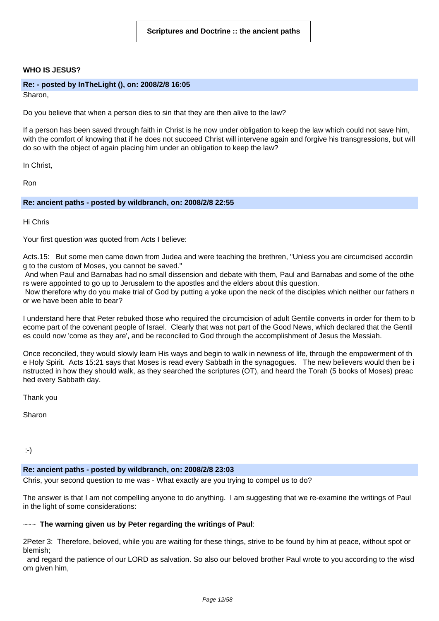# **WHO IS JESUS?**

#### **Re: - posted by InTheLight (), on: 2008/2/8 16:05**

Sharon,

Do you believe that when a person dies to sin that they are then alive to the law?

If a person has been saved through faith in Christ is he now under obligation to keep the law which could not save him, with the comfort of knowing that if he does not succeed Christ will intervene again and forgive his transgressions, but will do so with the object of again placing him under an obligation to keep the law?

In Christ,

Ron

#### **Re: ancient paths - posted by wildbranch, on: 2008/2/8 22:55**

Hi Chris

Your first question was quoted from Acts I believe:

Acts.15: But some men came down from Judea and were teaching the brethren, "Unless you are circumcised accordin g to the custom of Moses, you cannot be saved."

And when Paul and Barnabas had no small dissension and debate with them, Paul and Barnabas and some of the othe rs were appointed to go up to Jerusalem to the apostles and the elders about this question.

Now therefore why do you make trial of God by putting a yoke upon the neck of the disciples which neither our fathers n or we have been able to bear?

I understand here that Peter rebuked those who required the circumcision of adult Gentile converts in order for them to b ecome part of the covenant people of Israel. Clearly that was not part of the Good News, which declared that the Gentil es could now 'come as they are', and be reconciled to God through the accomplishment of Jesus the Messiah.

Once reconciled, they would slowly learn His ways and begin to walk in newness of life, through the empowerment of th e Holy Spirit. Acts 15:21 says that Moses is read every Sabbath in the synagogues. The new believers would then be i nstructed in how they should walk, as they searched the scriptures (OT), and heard the Torah (5 books of Moses) preac hed every Sabbath day.

Thank you

Sharon

:-)

#### **Re: ancient paths - posted by wildbranch, on: 2008/2/8 23:03**

Chris, your second question to me was - What exactly are you trying to compel us to do?

The answer is that I am not compelling anyone to do anything. I am suggesting that we re-examine the writings of Paul in the light of some considerations:

#### ~~~ **The warning given us by Peter regarding the writings of Paul**:

2Peter 3: Therefore, beloved, while you are waiting for these things, strive to be found by him at peace, without spot or blemish;

and regard the patience of our LORD as salvation. So also our beloved brother Paul wrote to you according to the wisd om given him,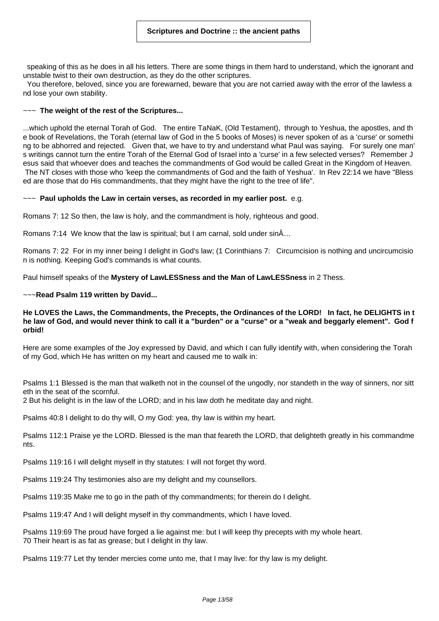speaking of this as he does in all his letters. There are some things in them hard to understand, which the ignorant and unstable twist to their own destruction, as they do the other scriptures.

You therefore, beloved, since you are forewarned, beware that you are not carried away with the error of the lawless a nd lose your own stability.

#### ~~~ **The weight of the rest of the Scriptures...**

...which uphold the eternal Torah of God. The entire TaNaK, (Old Testament), through to Yeshua, the apostles, and th e book of Revelations, the Torah (eternal law of God in the 5 books of Moses) is never spoken of as a 'curse' or somethi ng to be abhorred and rejected. Given that, we have to try and understand what Paul was saying. For surely one man' s writings cannot turn the entire Torah of the Eternal God of Israel into a 'curse' in a few selected verses? Remember J esus said that whoever does and teaches the commandments of God would be called Great in the Kingdom of Heaven. The NT closes with those who 'keep the commandments of God and the faith of Yeshua'. In Rev 22:14 we have "Bless ed are those that do His commandments, that they might have the right to the tree of life".

#### ~~~ **Paul upholds the Law in certain verses, as recorded in my earlier post.** e.g.

Romans 7: 12 So then, the law is holy, and the commandment is holy, righteous and good.

Romans 7:14 We know that the law is spiritual; but I am carnal, sold under sinÂ…

Romans 7: 22 For in my inner being I delight in God's law; (1 Corinthians 7: Circumcision is nothing and uncircumcisio n is nothing. Keeping God's commands is what counts.

Paul himself speaks of the **Mystery of LawLESSness and the Man of LawLESSness** in 2 Thess.

#### ~~~**Read Psalm 119 written by David...**

# He LOVES the Laws, the Commandments, the Precepts, the Ordinances of the LORD! In fact, he DELIGHTS in t he law of God, and would never think to call it a "burden" or a "curse" or a "weak and beggarly element". God f **orbid!**

Here are some examples of the Joy expressed by David, and which I can fully identify with, when considering the Torah of my God, which He has written on my heart and caused me to walk in:

Psalms 1:1 Blessed is the man that walketh not in the counsel of the ungodly, nor standeth in the way of sinners, nor sitt eth in the seat of the scornful.

2 But his delight is in the law of the LORD; and in his law doth he meditate day and night.

Psalms 40:8 I delight to do thy will, O my God: yea, thy law is within my heart.

Psalms 112:1 Praise ye the LORD. Blessed is the man that feareth the LORD, that delighteth greatly in his commandme nts.

Psalms 119:16 I will delight myself in thy statutes: I will not forget thy word.

Psalms 119:24 Thy testimonies also are my delight and my counsellors.

Psalms 119:35 Make me to go in the path of thy commandments; for therein do I delight.

Psalms 119:47 And I will delight myself in thy commandments, which I have loved.

Psalms 119:69 The proud have forged a lie against me: but I will keep thy precepts with my whole heart. 70 Their heart is as fat as grease; but I delight in thy law.

Psalms 119:77 Let thy tender mercies come unto me, that I may live: for thy law is my delight.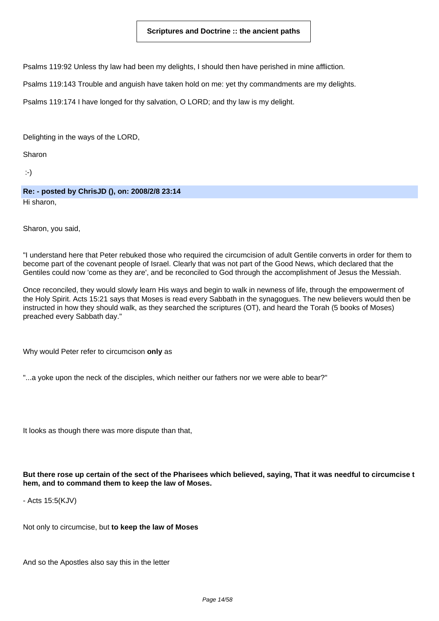Psalms 119:92 Unless thy law had been my delights, I should then have perished in mine affliction.

Psalms 119:143 Trouble and anguish have taken hold on me: yet thy commandments are my delights.

Psalms 119:174 I have longed for thy salvation, O LORD; and thy law is my delight.

Delighting in the ways of the LORD,

Sharon

:-)

**Re: - posted by ChrisJD (), on: 2008/2/8 23:14** Hi sharon,

Sharon, you said,

"I understand here that Peter rebuked those who required the circumcision of adult Gentile converts in order for them to become part of the covenant people of Israel. Clearly that was not part of the Good News, which declared that the Gentiles could now 'come as they are', and be reconciled to God through the accomplishment of Jesus the Messiah.

Once reconciled, they would slowly learn His ways and begin to walk in newness of life, through the empowerment of the Holy Spirit. Acts 15:21 says that Moses is read every Sabbath in the synagogues. The new believers would then be instructed in how they should walk, as they searched the scriptures (OT), and heard the Torah (5 books of Moses) preached every Sabbath day."

Why would Peter refer to circumcison **only** as

"...a yoke upon the neck of the disciples, which neither our fathers nor we were able to bear?"

It looks as though there was more dispute than that,

But there rose up certain of the sect of the Pharisees which believed, saying, That it was needful to circumcise t **hem, and to command them to keep the law of Moses.**

- Acts 15:5(KJV)

Not only to circumcise, but **to keep the law of Moses**

And so the Apostles also say this in the letter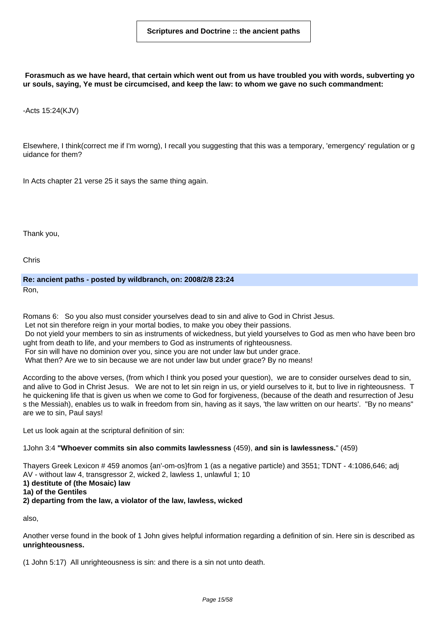Forasmuch as we have heard, that certain which went out from us have troubled you with words, subverting yo **ur souls, saying, Ye must be circumcised, and keep the law: to whom we gave no such commandment:**

-Acts 15:24(KJV)

Elsewhere, I think(correct me if I'm worng), I recall you suggesting that this was a temporary, 'emergency' regulation or g uidance for them?

In Acts chapter 21 verse 25 it says the same thing again.

Thank you,

Chris

**Re: ancient paths - posted by wildbranch, on: 2008/2/8 23:24**

Ron,

Romans 6: So you also must consider yourselves dead to sin and alive to God in Christ Jesus.

Let not sin therefore reign in your mortal bodies, to make you obey their passions.

Do not yield your members to sin as instruments of wickedness, but yield yourselves to God as men who have been bro ught from death to life, and your members to God as instruments of righteousness.

For sin will have no dominion over you, since you are not under law but under grace.

What then? Are we to sin because we are not under law but under grace? By no means!

According to the above verses, (from which I think you posed your question), we are to consider ourselves dead to sin, and alive to God in Christ Jesus. We are not to let sin reign in us, or yield ourselves to it, but to live in righteousness. T he quickening life that is given us when we come to God for forgiveness, (because of the death and resurrection of Jesu s the Messiah), enables us to walk in freedom from sin, having as it says, 'the law written on our hearts'. "By no means" are we to sin, Paul says!

Let us look again at the scriptural definition of sin:

#### 1John 3:4 **"Whoever commits sin also commits lawlessness** (459), **and sin is lawlessness.**" (459)

Thayers Greek Lexicon # 459 anomos {an'-om-os}from 1 (as a negative particle) and 3551; TDNT - 4:1086,646; adj AV - without law 4, transgressor 2, wicked 2, lawless 1, unlawful 1; 10 **1) destitute of (the Mosaic) law 1a) of the Gentiles 2) departing from the law, a violator of the law, lawless, wicked**

also,

Another verse found in the book of 1 John gives helpful information regarding a definition of sin. Here sin is described as **unrighteousness.**

(1 John 5:17) All unrighteousness is sin: and there is a sin not unto death.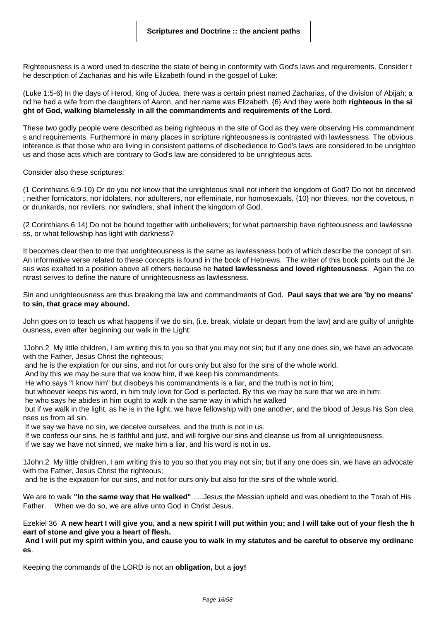Righteousness is a word used to describe the state of being in conformity with God's laws and requirements. Consider t he description of Zacharias and his wife Elizabeth found in the gospel of Luke:

(Luke 1:5-6) In the days of Herod, king of Judea, there was a certain priest named Zacharias, of the division of Abijah; a nd he had a wife from the daughters of Aaron, and her name was Elizabeth. {6} And they were both **righteous in the si ght of God, walking blamelessly in all the commandments and requirements of the Lord**.

These two godly people were described as being righteous in the site of God as they were observing His commandment s and requirements. Furthermore in many places in scripture righteousness is contrasted with lawlessness. The obvious inference is that those who are living in consistent patterns of disobedience to God's laws are considered to be unrighteo us and those acts which are contrary to God's law are considered to be unrighteous acts.

Consider also these scriptures:

(1 Corinthians 6:9-10) Or do you not know that the unrighteous shall not inherit the kingdom of God? Do not be deceived ; neither fornicators, nor idolaters, nor adulterers, nor effeminate, nor homosexuals, {10} nor thieves, nor the covetous, n or drunkards, nor revilers, nor swindlers, shall inherit the kingdom of God.

(2 Corinthians 6:14) Do not be bound together with unbelievers; for what partnership have righteousness and lawlessne ss, or what fellowship has light with darkness?

It becomes clear then to me that unrighteousness is the same as lawlessness both of which describe the concept of sin. An informative verse related to these concepts is found in the book of Hebrews. The writer of this book points out the Je sus was exalted to a position above all others because he **hated lawlessness and loved righteousness**. Again the co ntrast serves to define the nature of unrighteousness as lawlessness.

Sin and unrighteousness are thus breaking the law and commandments of God. **Paul says that we are 'by no means' to sin, that grace may abound.**

John goes on to teach us what happens if we do sin, (i.e. break, violate or depart from the law) and are guilty of unrighte ousness, even after beginning our walk in the Light:

1John.2 My little children, I am writing this to you so that you may not sin; but if any one does sin, we have an advocate with the Father, Jesus Christ the righteous;

and he is the expiation for our sins, and not for ours only but also for the sins of the whole world.

And by this we may be sure that we know him, if we keep his commandments.

He who says "I know him" but disobeys his commandments is a liar, and the truth is not in him;

but whoever keeps his word, in him truly love for God is perfected. By this we may be sure that we are in him:

he who says he abides in him ought to walk in the same way in which he walked

but if we walk in the light, as he is in the light, we have fellowship with one another, and the blood of Jesus his Son clea nses us from all sin.

If we say we have no sin, we deceive ourselves, and the truth is not in us.

If we confess our sins, he is faithful and just, and will forgive our sins and cleanse us from all unrighteousness.

If we say we have not sinned, we make him a liar, and his word is not in us.

1John.2 My little children, I am writing this to you so that you may not sin; but if any one does sin, we have an advocate with the Father, Jesus Christ the righteous;

and he is the expiation for our sins, and not for ours only but also for the sins of the whole world.

We are to walk **"In the same way that He walked"**......Jesus the Messiah upheld and was obedient to the Torah of His Father. When we do so, we are alive unto God in Christ Jesus.

Ezekiel 36 A new heart I will give you, and a new spirit I will put within you; and I will take out of your flesh the h **eart of stone and give you a heart of flesh.**

And I will put my spirit within you, and cause you to walk in my statutes and be careful to observe my ordinanc **es**.

Keeping the commands of the LORD is not an **obligation,** but a **joy!**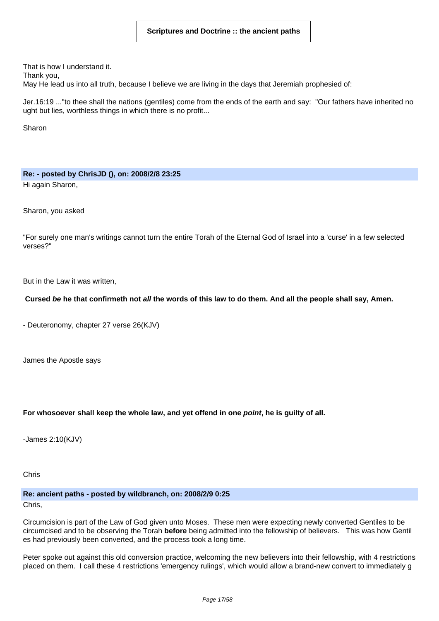That is how I understand it.

Thank you,

May He lead us into all truth, because I believe we are living in the days that Jeremiah prophesied of:

Jer.16:19 ..."to thee shall the nations (gentiles) come from the ends of the earth and say: "Our fathers have inherited no ught but lies, worthless things in which there is no profit...

Sharon

# **Re: - posted by ChrisJD (), on: 2008/2/8 23:25**

Hi again Sharon,

Sharon, you asked

"For surely one man's writings cannot turn the entire Torah of the Eternal God of Israel into a 'curse' in a few selected verses?"

But in the Law it was written,

# Cursed be he that confirmeth not all the words of this law to do them. And all the people shall say, Amen.

- Deuteronomy, chapter 27 verse 26(KJV)

James the Apostle says

# **For whosoever shall keep the whole law, and yet offend in one point, he is guilty of all.**

-James 2:10(KJV)

Chris

**Re: ancient paths - posted by wildbranch, on: 2008/2/9 0:25**

Chris,

Circumcision is part of the Law of God given unto Moses. These men were expecting newly converted Gentiles to be circumcised and to be observing the Torah **before** being admitted into the fellowship of believers. This was how Gentil es had previously been converted, and the process took a long time.

Peter spoke out against this old conversion practice, welcoming the new believers into their fellowship, with 4 restrictions placed on them. I call these 4 restrictions 'emergency rulings', which would allow a brand-new convert to immediately g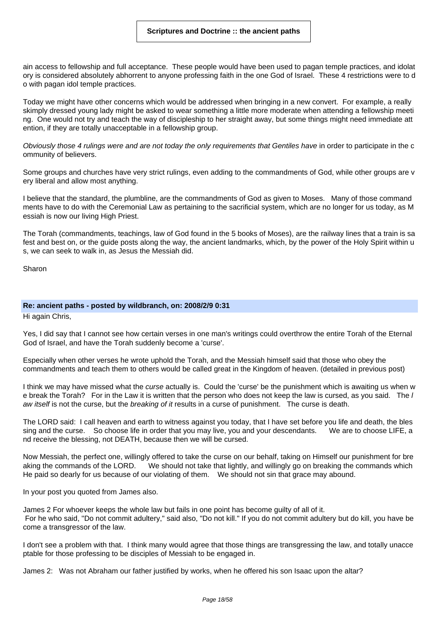ain access to fellowship and full acceptance. These people would have been used to pagan temple practices, and idolat ory is considered absolutely abhorrent to anyone professing faith in the one God of Israel. These 4 restrictions were to d o with pagan idol temple practices.

Today we might have other concerns which would be addressed when bringing in a new convert. For example, a really skimply dressed young lady might be asked to wear something a little more moderate when attending a fellowship meeti ng. One would not try and teach the way of discipleship to her straight away, but some things might need immediate att ention, if they are totally unacceptable in a fellowship group.

Obviously those 4 rulings were and are not today the only requirements that Gentiles have in order to participate in the c ommunity of believers.

Some groups and churches have very strict rulings, even adding to the commandments of God, while other groups are v ery liberal and allow most anything.

I believe that the standard, the plumbline, are the commandments of God as given to Moses. Many of those command ments have to do with the Ceremonial Law as pertaining to the sacrificial system, which are no longer for us today, as M essiah is now our living High Priest.

The Torah (commandments, teachings, law of God found in the 5 books of Moses), are the railway lines that a train is sa fest and best on, or the guide posts along the way, the ancient landmarks, which, by the power of the Holy Spirit within u s, we can seek to walk in, as Jesus the Messiah did.

Sharon

#### **Re: ancient paths - posted by wildbranch, on: 2008/2/9 0:31**

Hi again Chris,

Yes, I did say that I cannot see how certain verses in one man's writings could overthrow the entire Torah of the Eternal God of Israel, and have the Torah suddenly become a 'curse'.

Especially when other verses he wrote uphold the Torah, and the Messiah himself said that those who obey the commandments and teach them to others would be called great in the Kingdom of heaven. (detailed in previous post)

I think we may have missed what the curse actually is. Could the 'curse' be the punishment which is awaiting us when w e break the Torah? For in the Law it is written that the person who does not keep the law is cursed, as you said. The l aw itself is not the curse, but the breaking of it results in a curse of punishment. The curse is death.

The LORD said: I call heaven and earth to witness against you today, that I have set before you life and death, the bles sing and the curse. So choose life in order that you may live, you and your descendants. We are to choose LIFE, a nd receive the blessing, not DEATH, because then we will be cursed.

Now Messiah, the perfect one, willingly offered to take the curse on our behalf, taking on Himself our punishment for bre aking the commands of the LORD. We should not take that lightly, and willingly go on breaking the commands which He paid so dearly for us because of our violating of them. We should not sin that grace may abound.

In your post you quoted from James also.

James 2 For whoever keeps the whole law but fails in one point has become guilty of all of it. For he who said, "Do not commit adultery," said also, "Do not kill." If you do not commit adultery but do kill, you have be come a transgressor of the law.

I don't see a problem with that. I think many would agree that those things are transgressing the law, and totally unacce ptable for those professing to be disciples of Messiah to be engaged in.

James 2: Was not Abraham our father justified by works, when he offered his son Isaac upon the altar?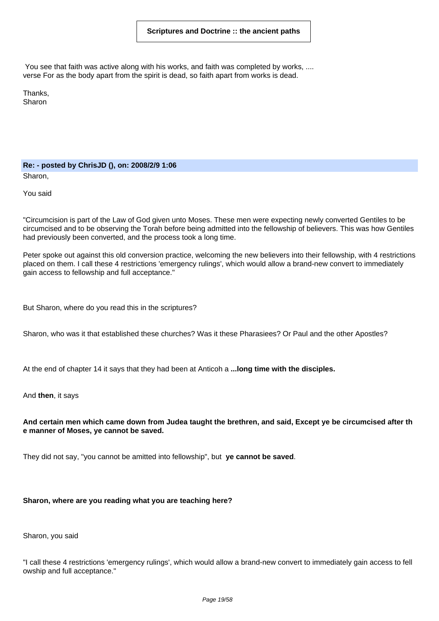You see that faith was active along with his works, and faith was completed by works, .... verse For as the body apart from the spirit is dead, so faith apart from works is dead.

Thanks, Sharon

**Re: - posted by ChrisJD (), on: 2008/2/9 1:06** Sharon,

You said

"Circumcision is part of the Law of God given unto Moses. These men were expecting newly converted Gentiles to be circumcised and to be observing the Torah before being admitted into the fellowship of believers. This was how Gentiles had previously been converted, and the process took a long time.

Peter spoke out against this old conversion practice, welcoming the new believers into their fellowship, with 4 restrictions placed on them. I call these 4 restrictions 'emergency rulings', which would allow a brand-new convert to immediately gain access to fellowship and full acceptance."

But Sharon, where do you read this in the scriptures?

Sharon, who was it that established these churches? Was it these Pharasiees? Or Paul and the other Apostles?

At the end of chapter 14 it says that they had been at Anticoh a **...long time with the disciples.**

And **then**, it says

#### And certain men which came down from Judea taught the brethren, and said, Except ye be circumcised after th **e manner of Moses, ye cannot be saved.**

They did not say, "you cannot be amitted into fellowship", but **ye cannot be saved**.

# **Sharon, where are you reading what you are teaching here?**

Sharon, you said

"I call these 4 restrictions 'emergency rulings', which would allow a brand-new convert to immediately gain access to fell owship and full acceptance."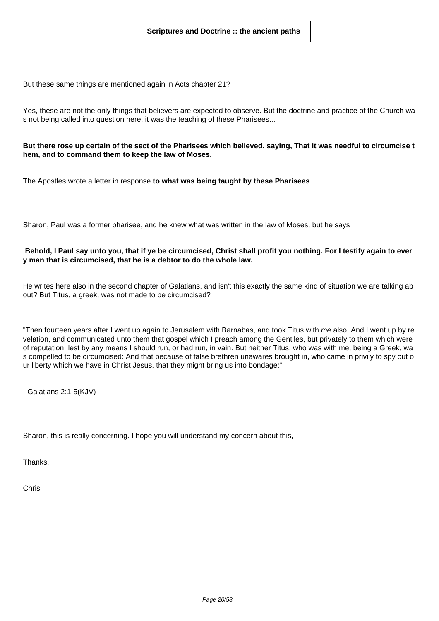But these same things are mentioned again in Acts chapter 21?

Yes, these are not the only things that believers are expected to observe. But the doctrine and practice of the Church wa s not being called into question here, it was the teaching of these Pharisees...

But there rose up certain of the sect of the Pharisees which believed, saying, That it was needful to circumcise t **hem, and to command them to keep the law of Moses.**

The Apostles wrote a letter in response **to what was being taught by these Pharisees**.

Sharon, Paul was a former pharisee, and he knew what was written in the law of Moses, but he says

# Behold, I Paul say unto you, that if ye be circumcised, Christ shall profit you nothing. For I testify again to ever **y man that is circumcised, that he is a debtor to do the whole law.**

He writes here also in the second chapter of Galatians, and isn't this exactly the same kind of situation we are talking ab out? But Titus, a greek, was not made to be circumcised?

"Then fourteen years after I went up again to Jerusalem with Barnabas, and took Titus with me also. And I went up by re velation, and communicated unto them that gospel which I preach among the Gentiles, but privately to them which were of reputation, lest by any means I should run, or had run, in vain. But neither Titus, who was with me, being a Greek, wa s compelled to be circumcised: And that because of false brethren unawares brought in, who came in privily to spy out o ur liberty which we have in Christ Jesus, that they might bring us into bondage:"

- Galatians 2:1-5(KJV)

Sharon, this is really concerning. I hope you will understand my concern about this,

Thanks,

Chris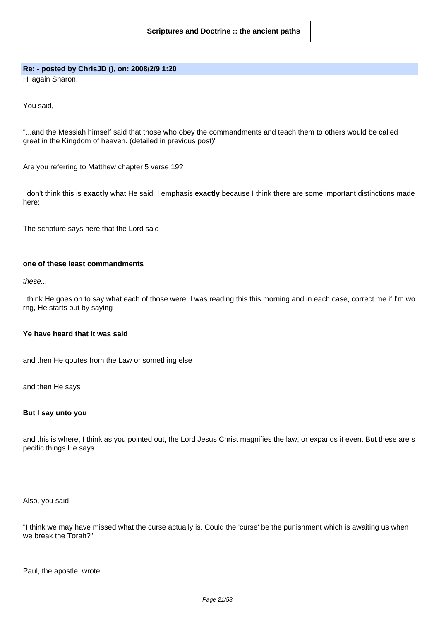# **Re: - posted by ChrisJD (), on: 2008/2/9 1:20**

Hi again Sharon,

You said,

"...and the Messiah himself said that those who obey the commandments and teach them to others would be called great in the Kingdom of heaven. (detailed in previous post)"

Are you referring to Matthew chapter 5 verse 19?

I don't think this is **exactly** what He said. I emphasis **exactly** because I think there are some important distinctions made here:

The scripture says here that the Lord said

# **one of these least commandments**

these...

I think He goes on to say what each of those were. I was reading this this morning and in each case, correct me if I'm wo rng, He starts out by saying

# **Ye have heard that it was said**

and then He qoutes from the Law or something else

and then He says

#### **But I say unto you**

and this is where, I think as you pointed out, the Lord Jesus Christ magnifies the law, or expands it even. But these are s pecific things He says.

Also, you said

"I think we may have missed what the curse actually is. Could the 'curse' be the punishment which is awaiting us when we break the Torah?"

Paul, the apostle, wrote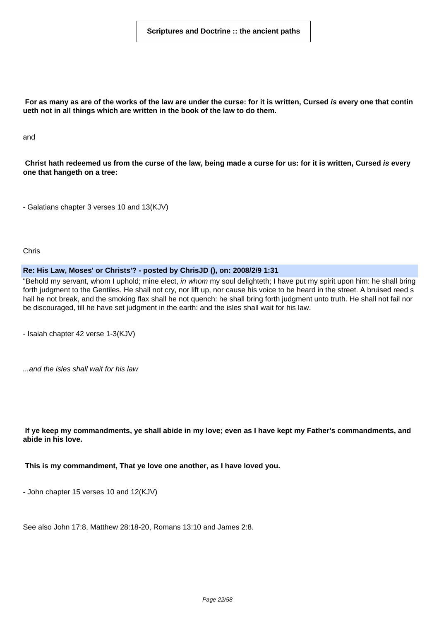For as many as are of the works of the law are under the curse: for it is written, Cursed is every one that contin **ueth not in all things which are written in the book of the law to do them.**

and

Christ hath redeemed us from the curse of the law, being made a curse for us: for it is written, Cursed is every **one that hangeth on a tree:**

- Galatians chapter 3 verses 10 and 13(KJV)

Chris

#### **Re: His Law, Moses' or Christs'? - posted by ChrisJD (), on: 2008/2/9 1:31**

"Behold my servant, whom I uphold; mine elect, in whom my soul delighteth; I have put my spirit upon him: he shall bring forth judgment to the Gentiles. He shall not cry, nor lift up, nor cause his voice to be heard in the street. A bruised reed s hall he not break, and the smoking flax shall he not quench: he shall bring forth judgment unto truth. He shall not fail nor be discouraged, till he have set judgment in the earth: and the isles shall wait for his law.

- Isaiah chapter 42 verse 1-3(KJV)

...and the isles shall wait for his law

If ye keep my commandments, ye shall abide in my love; even as I have kept my Father's commandments, and **abide in his love.**

**This is my commandment, That ye love one another, as I have loved you.**

- John chapter 15 verses 10 and 12(KJV)

See also John 17:8, Matthew 28:18-20, Romans 13:10 and James 2:8.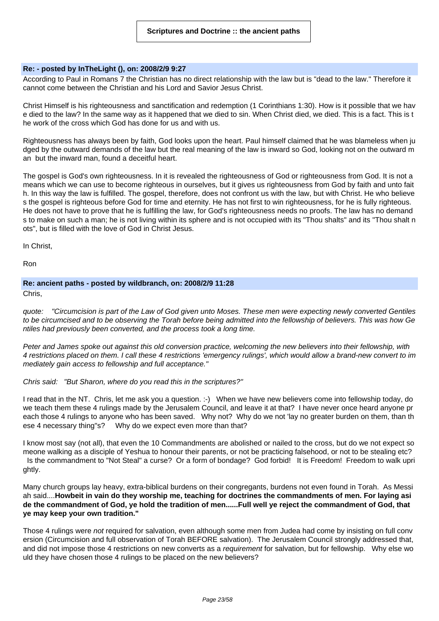# **Re: - posted by InTheLight (), on: 2008/2/9 9:27**

According to Paul in Romans 7 the Christian has no direct relationship with the law but is "dead to the law." Therefore it cannot come between the Christian and his Lord and Savior Jesus Christ.

Christ Himself is his righteousness and sanctification and redemption (1 Corinthians 1:30). How is it possible that we hav e died to the law? In the same way as it happened that we died to sin. When Christ died, we died. This is a fact. This is t he work of the cross which God has done for us and with us.

Righteousness has always been by faith, God looks upon the heart. Paul himself claimed that he was blameless when ju dged by the outward demands of the law but the real meaning of the law is inward so God, looking not on the outward m an but the inward man, found a deceitful heart.

The gospel is God's own righteousness. In it is revealed the righteousness of God or righteousness from God. It is not a means which we can use to become righteous in ourselves, but it gives us righteousness from God by faith and unto fait h. In this way the law is fulfilled. The gospel, therefore, does not confront us with the law, but with Christ. He who believe s the gospel is righteous before God for time and eternity. He has not first to win righteousness, for he is fully righteous. He does not have to prove that he is fulfilling the law, for God's righteousness needs no proofs. The law has no demand s to make on such a man; he is not living within its sphere and is not occupied with its "Thou shalts" and its "Thou shalt n ots", but is filled with the love of God in Christ Jesus.

In Christ,

Ron

#### **Re: ancient paths - posted by wildbranch, on: 2008/2/9 11:28**

Chris,

quote: "Circumcision is part of the Law of God given unto Moses. These men were expecting newly converted Gentiles to be circumcised and to be observing the Torah before being admitted into the fellowship of believers. This was how Ge ntiles had previously been converted, and the process took a long time.

Peter and James spoke out against this old conversion practice, welcoming the new believers into their fellowship, with 4 restrictions placed on them. I call these 4 restrictions 'emergency rulings', which would allow a brand-new convert to im mediately gain access to fellowship and full acceptance."

#### Chris said: "But Sharon, where do you read this in the scriptures?"

I read that in the NT. Chris, let me ask you a question. :-) When we have new believers come into fellowship today, do we teach them these 4 rulings made by the Jerusalem Council, and leave it at that? I have never once heard anyone pr each those 4 rulings to anyone who has been saved. Why not? Why do we not 'lay no greater burden on them, than th ese 4 necessary thing"s? Why do we expect even more than that?

I know most say (not all), that even the 10 Commandments are abolished or nailed to the cross, but do we not expect so meone walking as a disciple of Yeshua to honour their parents, or not be practicing falsehood, or not to be stealing etc? Is the commandment to "Not Steal" a curse? Or a form of bondage? God forbid! It is Freedom! Freedom to walk upri

ghtly.

Many church groups lay heavy, extra-biblical burdens on their congregants, burdens not even found in Torah. As Messi ah said....Howbeit in vain do they worship me, teaching for doctrines the commandments of men. For laying asi de the commandment of God, ye hold the tradition of men......Full well ye reject the commandment of God, that **ye may keep your own tradition."**

Those 4 rulings were not required for salvation, even although some men from Judea had come by insisting on full conv ersion (Circumcision and full observation of Torah BEFORE salvation). The Jerusalem Council strongly addressed that, and did not impose those 4 restrictions on new converts as a requirement for salvation, but for fellowship. Why else wo uld they have chosen those 4 rulings to be placed on the new believers?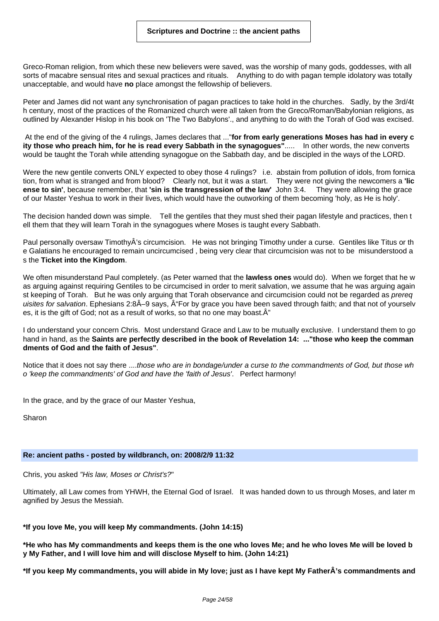Greco-Roman religion, from which these new believers were saved, was the worship of many gods, goddesses, with all sorts of macabre sensual rites and sexual practices and rituals. Anything to do with pagan temple idolatory was totally unacceptable, and would have **no** place amongst the fellowship of believers.

Peter and James did not want any synchronisation of pagan practices to take hold in the churches. Sadly, by the 3rd/4t h century, most of the practices of the Romanized church were all taken from the Greco/Roman/Babylonian religions, as outlined by Alexander Hislop in his book on 'The Two Babylons'., and anything to do with the Torah of God was excised.

At the end of the giving of the 4 rulings, James declares that ..."**for from early generations Moses has had in every c ity those who preach him, for he is read every Sabbath in the synagogues"**..... In other words, the new converts would be taught the Torah while attending synagogue on the Sabbath day, and be discipled in the ways of the LORD.

Were the new gentile converts ONLY expected to obey those 4 rulings? i.e. abstain from pollution of idols, from fornica tion, from what is stranged and from blood? Clearly not, but it was a start. They were not giving the newcomers a **'lic ense to sin'**, because remember, that **'sin is the transgression of the law'** John 3:4. They were allowing the grace of our Master Yeshua to work in their lives, which would have the outworking of them becoming 'holy, as He is holy'.

The decision handed down was simple. Tell the gentiles that they must shed their pagan lifestyle and practices, then t ell them that they will learn Torah in the synagogues where Moses is taught every Sabbath.

Paul personally oversaw TimothyÂ's circumcision. He was not bringing Timothy under a curse. Gentiles like Titus or th e Galatians he encouraged to remain uncircumcised , being very clear that circumcision was not to be misunderstood a s the **Ticket into the Kingdom**.

We often misunderstand Paul completely. (as Peter warned that the **lawless ones** would do). When we forget that he w as arguing against requiring Gentiles to be circumcised in order to merit salvation, we assume that he was arguing again st keeping of Torah. But he was only arguing that Torah observance and circumcision could not be regarded as *prereg* uisites for salvation. Ephesians  $2:8\hat{A}-9$  says,  $\hat{A}$ "For by grace you have been saved through faith; and that not of yourselv es, it is the gift of God; not as a result of works, so that no one may boast. $\hat{A}$ "

I do understand your concern Chris. Most understand Grace and Law to be mutually exclusive. I understand them to go hand in hand, as the **Saints are perfectly described in the book of Revelation 14: ..."those who keep the comman dments of God and the faith of Jesus"**.

Notice that it does not say there ....those who are in bondage/under a curse to the commandments of God, but those wh o 'keep the commandments' of God and have the 'faith of Jesus'. Perfect harmony!

In the grace, and by the grace of our Master Yeshua,

Sharon

#### **Re: ancient paths - posted by wildbranch, on: 2008/2/9 11:32**

Chris, you asked "His law, Moses or Christ's?"

Ultimately, all Law comes from YHWH, the Eternal God of Israel. It was handed down to us through Moses, and later m agnified by Jesus the Messiah.

# **\*If you love Me, you will keep My commandments. (John 14:15)**

\*He who has My commandments and keeps them is the one who loves Me; and he who loves Me will be loved b **y My Father, and I will love him and will disclose Myself to him. (John 14:21)**

\*If you keep My commandments, you will abide in My love; just as I have kept My FatherÂ's commandments and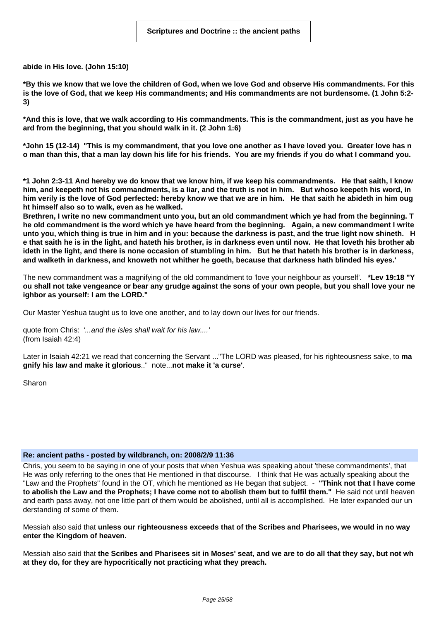**abide in His love. (John 15:10)**

\*By this we know that we love the children of God, when we love God and observe His commandments. For this is the love of God, that we keep His commandments; and His commandments are not burdensome. (1 John 5:2-**3)**

\*And this is love, that we walk according to His commandments. This is the commandment, just as you have he **ard from the beginning, that you should walk in it. (2 John 1:6)**

\*John 15 (12-14) "This is my commandment, that you love one another as I have loved you. Greater love has n o man than this, that a man lay down his life for his friends. You are my friends if you do what I command you.

\*1 John 2:3-11 And hereby we do know that we know him, if we keep his commandments. He that saith, I know him, and keepeth not his commandments, is a liar, and the truth is not in him. But whoso keepeth his word, in him verily is the love of God perfected: hereby know we that we are in him. He that saith he abideth in him oug **ht himself also so to walk, even as he walked.**

Brethren, I write no new commandment unto you, but an old commandment which ye had from the beginning. T he old commandment is the word which ye have heard from the beginning. Again, a new commandment I write unto you, which thing is true in him and in you: because the darkness is past, and the true light now shineth. H e that saith he is in the light, and hateth his brother, is in darkness even until now. He that loveth his brother ab ideth in the light, and there is none occasion of stumbling in him. But he that hateth his brother is in darkness, **and walketh in darkness, and knoweth not whither he goeth, because that darkness hath blinded his eyes.'**

The new commandment was a magnifying of the old commandment to 'love your neighbour as yourself'. **\*Lev 19:18 "Y** ou shall not take vengeance or bear any grudge against the sons of your own people, but you shall love your ne **ighbor as yourself: I am the LORD."**

Our Master Yeshua taught us to love one another, and to lay down our lives for our friends.

quote from Chris: '...and the isles shall wait for his law....' (from Isaiah 42:4)

Later in Isaiah 42:21 we read that concerning the Servant ..."The LORD was pleased, for his righteousness sake, to **ma gnify his law and make it glorious**.." note...**not make it 'a curse'**.

Sharon

#### **Re: ancient paths - posted by wildbranch, on: 2008/2/9 11:36**

Chris, you seem to be saying in one of your posts that when Yeshua was speaking about 'these commandments', that He was only referring to the ones that He mentioned in that discourse. I think that He was actually speaking about the "Law and the Prophets" found in the OT, which he mentioned as He began that subject. - **"Think not that I have come** to abolish the Law and the Prophets; I have come not to abolish them but to fulfil them." He said not until heaven and earth pass away, not one little part of them would be abolished, until all is accomplished. He later expanded our un derstanding of some of them.

Messiah also said that **unless our righteousness exceeds that of the Scribes and Pharisees, we would in no way enter the Kingdom of heaven.**

Messiah also said that the Scribes and Pharisees sit in Moses' seat, and we are to do all that they say, but not wh **at they do, for they are hypocritically not practicing what they preach.**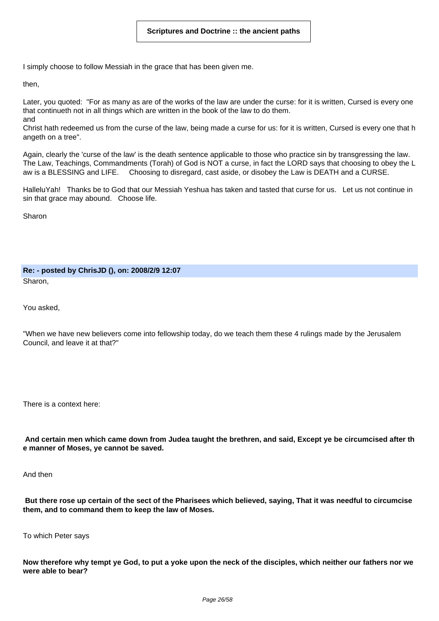I simply choose to follow Messiah in the grace that has been given me.

then,

Later, you quoted: "For as many as are of the works of the law are under the curse: for it is written, Cursed is every one that continueth not in all things which are written in the book of the law to do them. and

Christ hath redeemed us from the curse of the law, being made a curse for us: for it is written, Cursed is every one that h angeth on a tree".

Again, clearly the 'curse of the law' is the death sentence applicable to those who practice sin by transgressing the law. The Law, Teachings, Commandments (Torah) of God is NOT a curse, in fact the LORD says that choosing to obey the L aw is a BLESSING and LIFE. Choosing to disregard, cast aside, or disobey the Law is DEATH and a CURSE.

HalleluYah! Thanks be to God that our Messiah Yeshua has taken and tasted that curse for us. Let us not continue in sin that grace may abound. Choose life.

Sharon

**Re: - posted by ChrisJD (), on: 2008/2/9 12:07** Sharon,

You asked,

"When we have new believers come into fellowship today, do we teach them these 4 rulings made by the Jerusalem Council, and leave it at that?"

There is a context here:

And certain men which came down from Judea taught the brethren, and said, Except ye be circumcised after th **e manner of Moses, ye cannot be saved.**

And then

But there rose up certain of the sect of the Pharisees which believed, saying, That it was needful to circumcise **them, and to command them to keep the law of Moses.**

To which Peter says

Now therefore why tempt ye God, to put a yoke upon the neck of the disciples, which neither our fathers nor we **were able to bear?**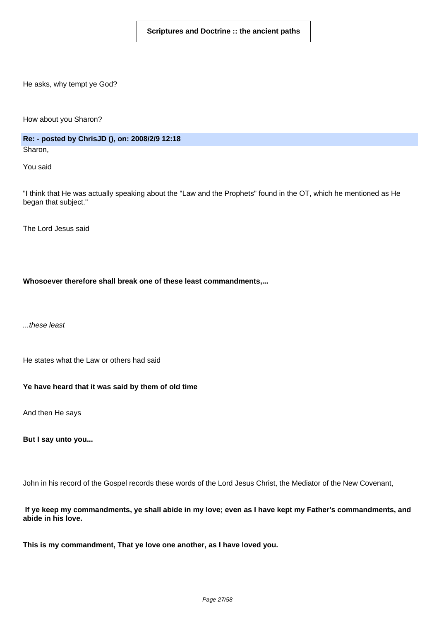He asks, why tempt ye God?

How about you Sharon?

**Re: - posted by ChrisJD (), on: 2008/2/9 12:18** Sharon,

You said

"I think that He was actually speaking about the "Law and the Prophets" found in the OT, which he mentioned as He began that subject."

The Lord Jesus said

**Whosoever therefore shall break one of these least commandments,...**

...these least

He states what the Law or others had said

**Ye have heard that it was said by them of old time**

And then He says

**But I say unto you...**

John in his record of the Gospel records these words of the Lord Jesus Christ, the Mediator of the New Covenant,

If ye keep my commandments, ye shall abide in my love; even as I have kept my Father's commandments, and **abide in his love.**

**This is my commandment, That ye love one another, as I have loved you.**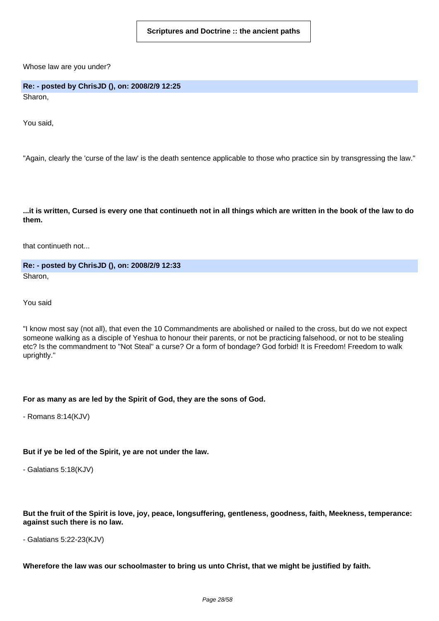Whose law are you under?

**Re: - posted by ChrisJD (), on: 2008/2/9 12:25** Sharon,

You said,

"Again, clearly the 'curse of the law' is the death sentence applicable to those who practice sin by transgressing the law."

...it is written, Cursed is every one that continueth not in all things which are written in the book of the law to do **them.**

that continueth not...

**Re: - posted by ChrisJD (), on: 2008/2/9 12:33** Sharon,

You said

"I know most say (not all), that even the 10 Commandments are abolished or nailed to the cross, but do we not expect someone walking as a disciple of Yeshua to honour their parents, or not be practicing falsehood, or not to be stealing etc? Is the commandment to "Not Steal" a curse? Or a form of bondage? God forbid! It is Freedom! Freedom to walk uprightly."

#### **For as many as are led by the Spirit of God, they are the sons of God.**

- Romans 8:14(KJV)

#### **But if ye be led of the Spirit, ye are not under the law.**

- Galatians 5:18(KJV)

But the fruit of the Spirit is love, joy, peace, longsuffering, gentleness, goodness, faith, Meekness, temperance: **against such there is no law.**

- Galatians 5:22-23(KJV)

Wherefore the law was our schoolmaster to bring us unto Christ, that we might be justified by faith.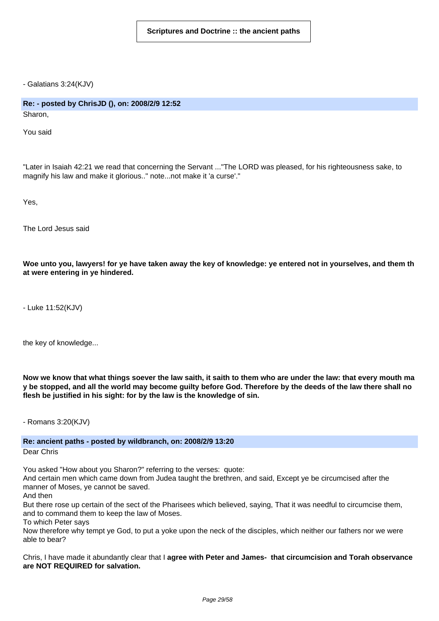- Galatians 3:24(KJV)

# **Re: - posted by ChrisJD (), on: 2008/2/9 12:52**

Sharon,

You said

"Later in Isaiah 42:21 we read that concerning the Servant ..."The LORD was pleased, for his righteousness sake, to magnify his law and make it glorious.." note...not make it 'a curse'."

Yes,

The Lord Jesus said

Woe unto you, lawyers! for ye have taken away the key of knowledge: ye entered not in yourselves, and them th **at were entering in ye hindered.**

- Luke 11:52(KJV)

the key of knowledge...

Now we know that what things soever the law saith, it saith to them who are under the law: that every mouth ma y be stopped, and all the world may become guilty before God. Therefore by the deeds of the law there shall no **flesh be justified in his sight: for by the law is the knowledge of sin.**

- Romans 3:20(KJV)

# **Re: ancient paths - posted by wildbranch, on: 2008/2/9 13:20**

Dear Chris

You asked "How about you Sharon?" referring to the verses: quote:

And certain men which came down from Judea taught the brethren, and said, Except ye be circumcised after the manner of Moses, ye cannot be saved.

And then

But there rose up certain of the sect of the Pharisees which believed, saying, That it was needful to circumcise them, and to command them to keep the law of Moses.

To which Peter says

Now therefore why tempt ye God, to put a yoke upon the neck of the disciples, which neither our fathers nor we were able to bear?

Chris, I have made it abundantly clear that I **agree with Peter and James- that circumcision and Torah observance are NOT REQUIRED for salvation.**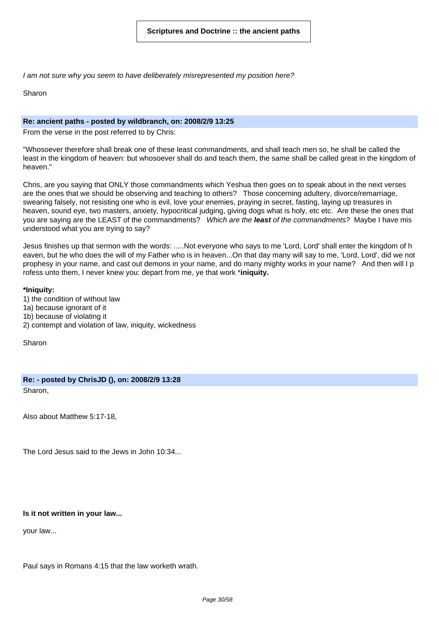I am not sure why you seem to have deliberately misrepresented my position here?

Sharon

#### **Re: ancient paths - posted by wildbranch, on: 2008/2/9 13:25**

From the verse in the post referred to by Chris:

"Whosoever therefore shall break one of these least commandments, and shall teach men so, he shall be called the least in the kingdom of heaven: but whosoever shall do and teach them, the same shall be called great in the kingdom of heaven."

Chris, are you saying that ONLY those commandments which Yeshua then goes on to speak about in the next verses are the ones that we should be observing and teaching to others? Those concerning adultery, divorce/remarriage, swearing falsely, not resisting one who is evil, love your enemies, praying in secret, fasting, laying up treasures in heaven, sound eye, two masters, anxiety, hypocritical judging, giving dogs what is holy, etc etc. Are these the ones that you are saying are the LEAST of the commandments? Which are the **least** of the commandments? Maybe I have mis understood what you are trying to say?

Jesus finishes up that sermon with the words: .....Not everyone who says to me 'Lord, Lord' shall enter the kingdom of h eaven, but he who does the will of my Father who is in heaven...On that day many will say to me, 'Lord, Lord', did we not prophesy in your name, and cast out demons in your name, and do many mighty works in your name? And then will I p rofess unto them, I never knew you: depart from me, ye that work \***iniquity.**

#### **\*Iniquity:**

1) the condition of without law 1a) because ignorant of it 1b) because of violating it 2) contempt and violation of law, iniquity, wickedness

Sharon

**Re: - posted by ChrisJD (), on: 2008/2/9 13:28** Sharon,

Also about Matthew 5:17-18,

The Lord Jesus said to the Jews in John 10:34...

# **Is it not written in your law...**

your law...

Paul says in Romans 4:15 that the law worketh wrath.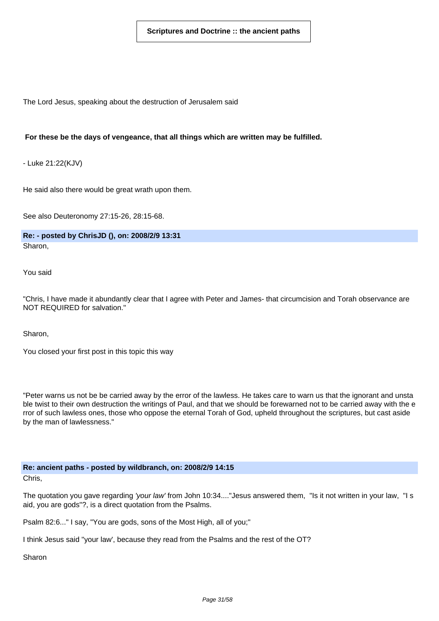The Lord Jesus, speaking about the destruction of Jerusalem said

#### **For these be the days of vengeance, that all things which are written may be fulfilled.**

- Luke 21:22(KJV)

He said also there would be great wrath upon them.

See also Deuteronomy 27:15-26, 28:15-68.

**Re: - posted by ChrisJD (), on: 2008/2/9 13:31** Sharon,

You said

"Chris, I have made it abundantly clear that I agree with Peter and James- that circumcision and Torah observance are NOT REQUIRED for salvation."

Sharon,

You closed your first post in this topic this way

"Peter warns us not be be carried away by the error of the lawless. He takes care to warn us that the ignorant and unsta ble twist to their own destruction the writings of Paul, and that we should be forewarned not to be carried away with the e rror of such lawless ones, those who oppose the eternal Torah of God, upheld throughout the scriptures, but cast aside by the man of lawlessness."

**Re: ancient paths - posted by wildbranch, on: 2008/2/9 14:15**

Chris,

The quotation you gave regarding 'your law' from John 10:34...."Jesus answered them, "Is it not written in your law, "I s aid, you are gods"?, is a direct quotation from the Psalms.

Psalm 82:6..." I say, "You are gods, sons of the Most High, all of you;"

I think Jesus said "your law', because they read from the Psalms and the rest of the OT?

Sharon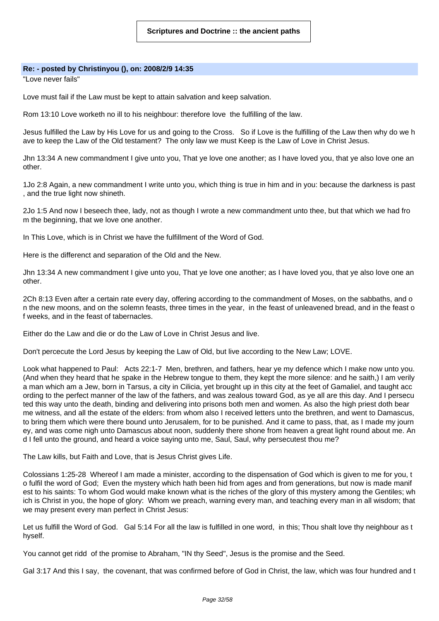#### **Re: - posted by Christinyou (), on: 2008/2/9 14:35**

"Love never fails"

Love must fail if the Law must be kept to attain salvation and keep salvation.

Rom 13:10 Love worketh no ill to his neighbour: therefore love the fulfilling of the law.

Jesus fulfilled the Law by His Love for us and going to the Cross. So if Love is the fulfilling of the Law then why do we h ave to keep the Law of the Old testament? The only law we must Keep is the Law of Love in Christ Jesus.

Jhn 13:34 A new commandment I give unto you, That ye love one another; as I have loved you, that ye also love one an other.

1Jo 2:8 Again, a new commandment I write unto you, which thing is true in him and in you: because the darkness is past , and the true light now shineth.

2Jo 1:5 And now I beseech thee, lady, not as though I wrote a new commandment unto thee, but that which we had fro m the beginning, that we love one another.

In This Love, which is in Christ we have the fulfillment of the Word of God.

Here is the differenct and separation of the Old and the New.

Jhn 13:34 A new commandment I give unto you, That ye love one another; as I have loved you, that ye also love one an other.

2Ch 8:13 Even after a certain rate every day, offering according to the commandment of Moses, on the sabbaths, and o n the new moons, and on the solemn feasts, three times in the year, in the feast of unleavened bread, and in the feast o f weeks, and in the feast of tabernacles.

Either do the Law and die or do the Law of Love in Christ Jesus and live.

Don't percecute the Lord Jesus by keeping the Law of Old, but live according to the New Law; LOVE.

Look what happened to Paul: Acts 22:1-7 Men, brethren, and fathers, hear ye my defence which I make now unto you. (And when they heard that he spake in the Hebrew tongue to them, they kept the more silence: and he saith,) I am verily a man which am a Jew, born in Tarsus, a city in Cilicia, yet brought up in this city at the feet of Gamaliel, and taught acc ording to the perfect manner of the law of the fathers, and was zealous toward God, as ye all are this day. And I persecu ted this way unto the death, binding and delivering into prisons both men and women. As also the high priest doth bear me witness, and all the estate of the elders: from whom also I received letters unto the brethren, and went to Damascus, to bring them which were there bound unto Jerusalem, for to be punished. And it came to pass, that, as I made my journ ey, and was come nigh unto Damascus about noon, suddenly there shone from heaven a great light round about me. An d I fell unto the ground, and heard a voice saying unto me, Saul, Saul, why persecutest thou me?

The Law kills, but Faith and Love, that is Jesus Christ gives Life.

Colossians 1:25-28 Whereof I am made a minister, according to the dispensation of God which is given to me for you, t o fulfil the word of God; Even the mystery which hath been hid from ages and from generations, but now is made manif est to his saints: To whom God would make known what is the riches of the glory of this mystery among the Gentiles; wh ich is Christ in you, the hope of glory: Whom we preach, warning every man, and teaching every man in all wisdom; that we may present every man perfect in Christ Jesus:

Let us fulfill the Word of God. Gal 5:14 For all the law is fulfilled in one word, in this; Thou shalt love thy neighbour as t hyself.

You cannot get ridd of the promise to Abraham, "IN thy Seed", Jesus is the promise and the Seed.

Gal 3:17 And this I say, the covenant, that was confirmed before of God in Christ, the law, which was four hundred and t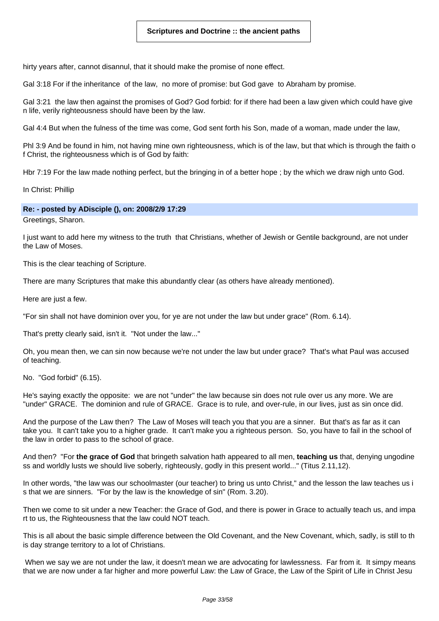hirty years after, cannot disannul, that it should make the promise of none effect.

Gal 3:18 For if the inheritance of the law, no more of promise: but God gave to Abraham by promise.

Gal 3:21 the law then against the promises of God? God forbid: for if there had been a law given which could have give n life, verily righteousness should have been by the law.

Gal 4:4 But when the fulness of the time was come, God sent forth his Son, made of a woman, made under the law,

Phl 3:9 And be found in him, not having mine own righteousness, which is of the law, but that which is through the faith o f Christ, the righteousness which is of God by faith:

Hbr 7:19 For the law made nothing perfect, but the bringing in of a better hope ; by the which we draw nigh unto God.

In Christ: Phillip

#### **Re: - posted by ADisciple (), on: 2008/2/9 17:29**

Greetings, Sharon.

I just want to add here my witness to the truth that Christians, whether of Jewish or Gentile background, are not under the Law of Moses.

This is the clear teaching of Scripture.

There are many Scriptures that make this abundantly clear (as others have already mentioned).

Here are just a few.

"For sin shall not have dominion over you, for ye are not under the law but under grace" (Rom. 6.14).

That's pretty clearly said, isn't it. "Not under the law..."

Oh, you mean then, we can sin now because we're not under the law but under grace? That's what Paul was accused of teaching.

No. "God forbid" (6.15).

He's saying exactly the opposite: we are not "under" the law because sin does not rule over us any more. We are "under" GRACE. The dominion and rule of GRACE. Grace is to rule, and over-rule, in our lives, just as sin once did.

And the purpose of the Law then? The Law of Moses will teach you that you are a sinner. But that's as far as it can take you. It can't take you to a higher grade. It can't make you a righteous person. So, you have to fail in the school of the law in order to pass to the school of grace.

And then? "For **the grace of God** that bringeth salvation hath appeared to all men, **teaching us** that, denying ungodine ss and worldly lusts we should live soberly, righteously, godly in this present world..." (Titus 2.11,12).

In other words, "the law was our schoolmaster (our teacher) to bring us unto Christ," and the lesson the law teaches us i s that we are sinners. "For by the law is the knowledge of sin" (Rom. 3.20).

Then we come to sit under a new Teacher: the Grace of God, and there is power in Grace to actually teach us, and impa rt to us, the Righteousness that the law could NOT teach.

This is all about the basic simple difference between the Old Covenant, and the New Covenant, which, sadly, is still to th is day strange territory to a lot of Christians.

When we say we are not under the law, it doesn't mean we are advocating for lawlessness. Far from it. It simpy means that we are now under a far higher and more powerful Law: the Law of Grace, the Law of the Spirit of Life in Christ Jesu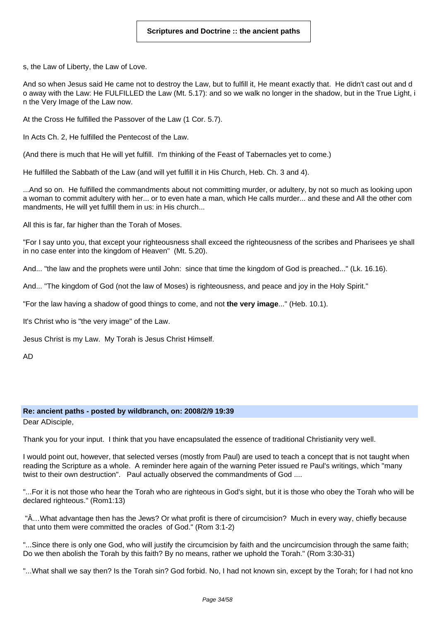s, the Law of Liberty, the Law of Love.

And so when Jesus said He came not to destroy the Law, but to fulfill it, He meant exactly that. He didn't cast out and d o away with the Law: He FULFILLED the Law (Mt. 5.17): and so we walk no longer in the shadow, but in the True Light, i n the Very Image of the Law now.

At the Cross He fulfilled the Passover of the Law (1 Cor. 5.7).

In Acts Ch. 2, He fulfilled the Pentecost of the Law.

(And there is much that He will yet fulfill. I'm thinking of the Feast of Tabernacles yet to come.)

He fulfilled the Sabbath of the Law (and will yet fulfill it in His Church, Heb. Ch. 3 and 4).

...And so on. He fulfilled the commandments about not committing murder, or adultery, by not so much as looking upon a woman to commit adultery with her... or to even hate a man, which He calls murder... and these and All the other com mandments, He will yet fulfill them in us: in His church...

All this is far, far higher than the Torah of Moses.

"For I say unto you, that except your righteousness shall exceed the righteousness of the scribes and Pharisees ye shall in no case enter into the kingdom of Heaven" (Mt. 5.20).

And... "the law and the prophets were until John: since that time the kingdom of God is preached..." (Lk. 16.16).

And... "The kingdom of God (not the law of Moses) is righteousness, and peace and joy in the Holy Spirit."

"For the law having a shadow of good things to come, and not **the very image**..." (Heb. 10.1).

It's Christ who is "the very image" of the Law.

Jesus Christ is my Law. My Torah is Jesus Christ Himself.

AD

#### **Re: ancient paths - posted by wildbranch, on: 2008/2/9 19:39**

Dear ADisciple,

Thank you for your input. I think that you have encapsulated the essence of traditional Christianity very well.

I would point out, however, that selected verses (mostly from Paul) are used to teach a concept that is not taught when reading the Scripture as a whole. A reminder here again of the warning Peter issued re Paul's writings, which "many twist to their own destruction". Paul actually observed the commandments of God ....

"...For it is not those who hear the Torah who are righteous in God's sight, but it is those who obey the Torah who will be declared righteous." (Rom1:13)

 "Â…What advantage then has the Jews? Or what profit is there of circumcision? Much in every way, chiefly because that unto them were committed the oracles of God." (Rom 3:1-2)

"...Since there is only one God, who will justify the circumcision by faith and the uncircumcision through the same faith; Do we then abolish the Torah by this faith? By no means, rather we uphold the Torah." (Rom 3:30-31)

"...What shall we say then? Is the Torah sin? God forbid. No, I had not known sin, except by the Torah; for I had not kno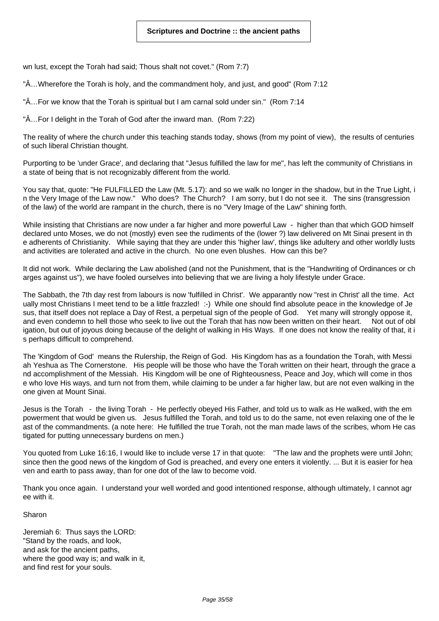wn lust, except the Torah had said; Thous shalt not covet." (Rom 7:7)

"Â…Wherefore the Torah is holy, and the commandment holy, and just, and good" (Rom 7:12

"Â…For we know that the Torah is spiritual but I am carnal sold under sin." (Rom 7:14

"Â…For I delight in the Torah of God after the inward man. (Rom 7:22)

The reality of where the church under this teaching stands today, shows (from my point of view), the results of centuries of such liberal Christian thought.

Purporting to be 'under Grace', and declaring that "Jesus fulfilled the law for me", has left the community of Christians in a state of being that is not recognizably different from the world.

You say that, quote: "He FULFILLED the Law (Mt. 5.17): and so we walk no longer in the shadow, but in the True Light, i n the Very Image of the Law now." Who does? The Church? I am sorry, but I do not see it. The sins (transgression of the law) of the world are rampant in the church, there is no "Very Image of the Law" shining forth.

While insisting that Christians are now under a far higher and more powerful Law - higher than that which GOD himself declared unto Moses, we do not (mostly) even see the rudiments of the (lower ?) law delivered on Mt Sinai present in th e adherents of Christianity. While saying that they are under this 'higher law', things like adultery and other worldly lusts and activities are tolerated and active in the church. No one even blushes. How can this be?

It did not work. While declaring the Law abolished (and not the Punishment, that is the "Handwriting of Ordinances or ch arges against us"), we have fooled ourselves into believing that we are living a holy lifestyle under Grace.

The Sabbath, the 7th day rest from labours is now 'fulfilled in Christ'. We apparantly now "rest in Christ' all the time. Act ually most Christians I meet tend to be a little frazzled! :-) While one should find absolute peace in the knowledge of Je sus, that itself does not replace a Day of Rest, a perpetual sign of the people of God. Yet many will strongly oppose it, and even condemn to hell those who seek to live out the Torah that has now been written on their heart. Not out of obl igation, but out of joyous doing because of the delight of walking in His Ways. If one does not know the reality of that, it i s perhaps difficult to comprehend.

The 'Kingdom of God' means the Rulership, the Reign of God. His Kingdom has as a foundation the Torah, with Messi ah Yeshua as The Cornerstone. His people will be those who have the Torah written on their heart, through the grace a nd accomplishment of the Messiah. His Kingdom will be one of Righteousness, Peace and Joy, which will come in thos e who love His ways, and turn not from them, while claiming to be under a far higher law, but are not even walking in the one given at Mount Sinai.

Jesus is the Torah - the living Torah - He perfectly obeyed His Father, and told us to walk as He walked, with the em powerment that would be given us. Jesus fulfilled the Torah, and told us to do the same, not even relaxing one of the le ast of the commandments. (a note here: He fulfilled the true Torah, not the man made laws of the scribes, whom He cas tigated for putting unnecessary burdens on men.)

You quoted from Luke 16:16, I would like to include verse 17 in that quote: "The law and the prophets were until John; since then the good news of the kingdom of God is preached, and every one enters it violently. ... But it is easier for hea ven and earth to pass away, than for one dot of the law to become void.

Thank you once again. I understand your well worded and good intentioned response, although ultimately, I cannot agr ee with it.

Sharon

Jeremiah 6: Thus says the LORD: "Stand by the roads, and look, and ask for the ancient paths, where the good way is; and walk in it, and find rest for your souls.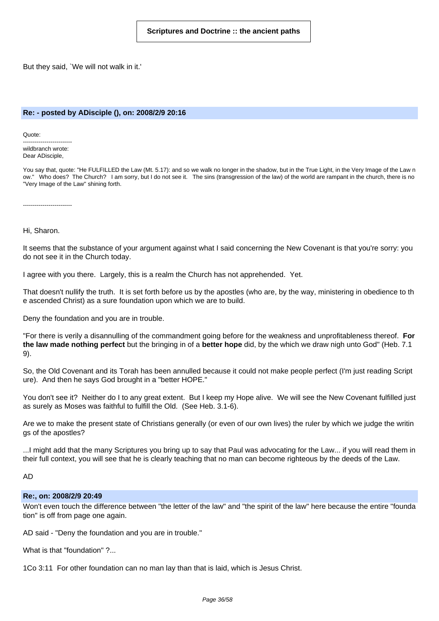But they said, `We will not walk in it.'

#### **Re: - posted by ADisciple (), on: 2008/2/9 20:16**

Quote:

------------------------ wildbranch wrote: Dear ADisciple,

You say that, quote: "He FULFILLED the Law (Mt. 5.17): and so we walk no longer in the shadow, but in the True Light, in the Very Image of the Law n ow." Who does? The Church? I am sorry, but I do not see it. The sins (transgression of the law) of the world are rampant in the church, there is no "Very Image of the Law" shining forth.

-------------------------

Hi, Sharon.

It seems that the substance of your argument against what I said concerning the New Covenant is that you're sorry: you do not see it in the Church today.

I agree with you there. Largely, this is a realm the Church has not apprehended. Yet.

That doesn't nullify the truth. It is set forth before us by the apostles (who are, by the way, ministering in obedience to th e ascended Christ) as a sure foundation upon which we are to build.

Deny the foundation and you are in trouble.

"For there is verily a disannulling of the commandment going before for the weakness and unprofitableness thereof. **For the law made nothing perfect** but the bringing in of a **better hope** did, by the which we draw nigh unto God" (Heb. 7.1 9).

So, the Old Covenant and its Torah has been annulled because it could not make people perfect (I'm just reading Script ure). And then he says God brought in a "better HOPE."

You don't see it? Neither do I to any great extent. But I keep my Hope alive. We will see the New Covenant fulfilled just as surely as Moses was faithful to fulfill the Old. (See Heb. 3.1-6).

Are we to make the present state of Christians generally (or even of our own lives) the ruler by which we judge the writin gs of the apostles?

...I might add that the many Scriptures you bring up to say that Paul was advocating for the Law... if you will read them in their full context, you will see that he is clearly teaching that no man can become righteous by the deeds of the Law.

AD

#### **Re:, on: 2008/2/9 20:49**

Won't even touch the difference between "the letter of the law" and "the spirit of the law" here because the entire "founda tion" is off from page one again.

AD said - "Deny the foundation and you are in trouble."

What is that "foundation" ?...

1Co 3:11 For other foundation can no man lay than that is laid, which is Jesus Christ.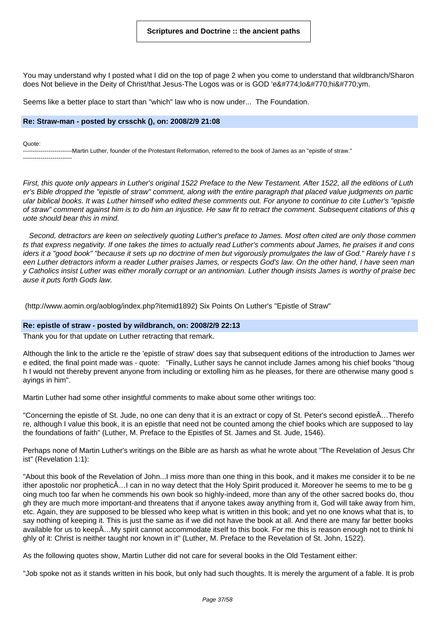You may understand why I posted what I did on the top of page 2 when you come to understand that wildbranch/Sharon does Not believe in the Deity of Christ/that Jesus-The Logos was or is GOD 'ĕlôhîym.

Seems like a better place to start than "which" law who is now under... The Foundation.

#### **Re: Straw-man - posted by crsschk (), on: 2008/2/9 21:08**

Quote:

-------------------------Martin Luther, founder of the Protestant Reformation, referred to the book of James as an "epistle of straw." -------------------------

First, this quote only appears in Luther's original 1522 Preface to the New Testament. After 1522, all the editions of Luth er's Bible dropped the "epistle of straw" comment, along with the entire paragraph that placed value judgments on partic ular biblical books. It was Luther himself who edited these comments out. For anyone to continue to cite Luther's "epistle of straw" comment against him is to do him an injustice. He saw fit to retract the comment. Subsequent citations of this q uote should bear this in mind.

Second, detractors are keen on selectively quoting Luther's preface to James. Most often cited are only those commen ts that express negativity. If one takes the times to actually read Luther's comments about James, he praises it and cons iders it a "good book" "because it sets up no doctrine of men but vigorously promulgates the law of God." Rarely have I s een Luther detractors inform a reader Luther praises James, or respects God's law. On the other hand, I have seen man y Catholics insist Luther was either morally corrupt or an antinomian. Luther though insists James is worthy of praise bec ause it puts forth Gods law.

(http://www.aomin.org/aoblog/index.php?itemid1892) Six Points On Luther's "Epistle of Straw"

#### **Re: epistle of straw - posted by wildbranch, on: 2008/2/9 22:13**

Thank you for that update on Luther retracting that remark.

Although the link to the article re the 'epistle of straw' does say that subsequent editions of the introduction to James wer e edited, the final point made was - quote: "Finally, Luther says he cannot include James among his chief books "thoug h I would not thereby prevent anyone from including or extolling him as he pleases, for there are otherwise many good s ayings in him".

Martin Luther had some other insightful comments to make about some other writings too:

"Concerning the epistle of St. Jude, no one can deny that it is an extract or copy of St. Peter's second epistleÂ…Therefo re, although I value this book, it is an epistle that need not be counted among the chief books which are supposed to lay the foundations of faith" (Luther, M. Preface to the Epistles of St. James and St. Jude, 1546).

Perhaps none of Martin Luther's writings on the Bible are as harsh as what he wrote about "The Revelation of Jesus Chr ist" (Revelation 1:1):

"About this book of the Revelation of John...I miss more than one thing in this book, and it makes me consider it to be ne ither apostolic nor propheticÂ…I can in no way detect that the Holy Spirit produced it. Moreover he seems to me to be g oing much too far when he commends his own book so highly-indeed, more than any of the other sacred books do, thou gh they are much more important-and threatens that if anyone takes away anything from it, God will take away from him, etc. Again, they are supposed to be blessed who keep what is written in this book; and yet no one knows what that is, to say nothing of keeping it. This is just the same as if we did not have the book at all. And there are many far better books available for us to keepÂ…My spirit cannot accommodate itself to this book. For me this is reason enough not to think hi ghly of it: Christ is neither taught nor known in it" (Luther, M. Preface to the Revelation of St. John, 1522).

As the following quotes show, Martin Luther did not care for several books in the Old Testament either:

"Job spoke not as it stands written in his book, but only had such thoughts. It is merely the argument of a fable. It is prob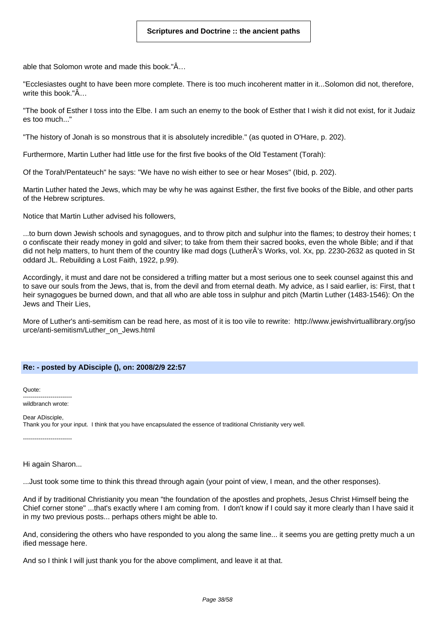able that Solomon wrote and made this book."Â…

"Ecclesiastes ought to have been more complete. There is too much incoherent matter in it...Solomon did not, therefore, write this book."Â…

"The book of Esther I toss into the Elbe. I am such an enemy to the book of Esther that I wish it did not exist, for it Judaiz es too much..."

"The history of Jonah is so monstrous that it is absolutely incredible." (as quoted in O'Hare, p. 202).

Furthermore, Martin Luther had little use for the first five books of the Old Testament (Torah):

Of the Torah/Pentateuch" he says: "We have no wish either to see or hear Moses" (Ibid, p. 202).

Martin Luther hated the Jews, which may be why he was against Esther, the first five books of the Bible, and other parts of the Hebrew scriptures.

Notice that Martin Luther advised his followers,

...to burn down Jewish schools and synagogues, and to throw pitch and sulphur into the flames; to destroy their homes; t o confiscate their ready money in gold and silver; to take from them their sacred books, even the whole Bible; and if that did not help matters, to hunt them of the country like mad dogs (LutherÂ's Works, vol. Xx, pp. 2230-2632 as quoted in St oddard JL. Rebuilding a Lost Faith, 1922, p.99).

Accordingly, it must and dare not be considered a trifling matter but a most serious one to seek counsel against this and to save our souls from the Jews, that is, from the devil and from eternal death. My advice, as I said earlier, is: First, that t heir synagogues be burned down, and that all who are able toss in sulphur and pitch (Martin Luther (1483-1546): On the Jews and Their Lies,

More of Luther's anti-semitism can be read here, as most of it is too vile to rewrite: http://www.jewishvirtuallibrary.org/jso urce/anti-semitism/Luther\_on\_Jews.html

#### **Re: - posted by ADisciple (), on: 2008/2/9 22:57**

Quote: -------------------------

wildbranch wrote:

Dear ADisciple, Thank you for your input. I think that you have encapsulated the essence of traditional Christianity very well.

-------------------------

Hi again Sharon...

...Just took some time to think this thread through again (your point of view, I mean, and the other responses).

And if by traditional Christianity you mean "the foundation of the apostles and prophets, Jesus Christ Himself being the Chief corner stone" ...that's exactly where I am coming from. I don't know if I could say it more clearly than I have said it in my two previous posts... perhaps others might be able to.

And, considering the others who have responded to you along the same line... it seems you are getting pretty much a un ified message here.

And so I think I will just thank you for the above compliment, and leave it at that.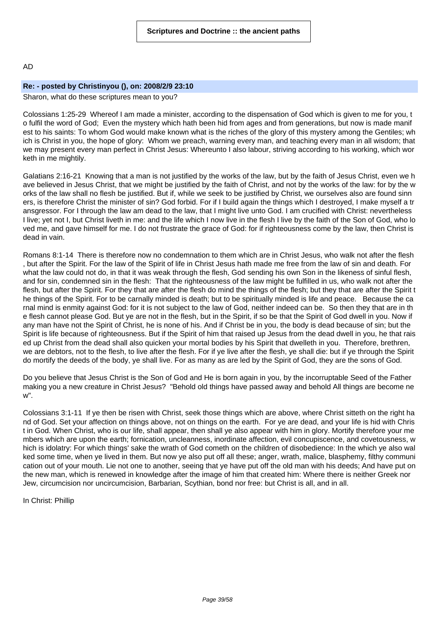#### AD

#### **Re: - posted by Christinyou (), on: 2008/2/9 23:10**

# Sharon, what do these scriptures mean to you?

Colossians 1:25-29 Whereof I am made a minister, according to the dispensation of God which is given to me for you, t o fulfil the word of God; Even the mystery which hath been hid from ages and from generations, but now is made manif est to his saints: To whom God would make known what is the riches of the glory of this mystery among the Gentiles; wh ich is Christ in you, the hope of glory: Whom we preach, warning every man, and teaching every man in all wisdom; that we may present every man perfect in Christ Jesus: Whereunto I also labour, striving according to his working, which wor keth in me mightily.

Galatians 2:16-21 Knowing that a man is not justified by the works of the law, but by the faith of Jesus Christ, even we h ave believed in Jesus Christ, that we might be justified by the faith of Christ, and not by the works of the law: for by the w orks of the law shall no flesh be justified. But if, while we seek to be justified by Christ, we ourselves also are found sinn ers, is therefore Christ the minister of sin? God forbid. For if I build again the things which I destroyed, I make myself a tr ansgressor. For I through the law am dead to the law, that I might live unto God. I am crucified with Christ: nevertheless I live; yet not I, but Christ liveth in me: and the life which I now live in the flesh I live by the faith of the Son of God, who lo ved me, and gave himself for me. I do not frustrate the grace of God: for if righteousness come by the law, then Christ is dead in vain.

Romans 8:1-14 There is therefore now no condemnation to them which are in Christ Jesus, who walk not after the flesh , but after the Spirit. For the law of the Spirit of life in Christ Jesus hath made me free from the law of sin and death. For what the law could not do, in that it was weak through the flesh, God sending his own Son in the likeness of sinful flesh, and for sin, condemned sin in the flesh: That the righteousness of the law might be fulfilled in us, who walk not after the flesh, but after the Spirit. For they that are after the flesh do mind the things of the flesh; but they that are after the Spirit t he things of the Spirit. For to be carnally minded is death; but to be spiritually minded is life and peace. Because the ca rnal mind is enmity against God: for it is not subject to the law of God, neither indeed can be. So then they that are in th e flesh cannot please God. But ye are not in the flesh, but in the Spirit, if so be that the Spirit of God dwell in you. Now if any man have not the Spirit of Christ, he is none of his. And if Christ be in you, the body is dead because of sin; but the Spirit is life because of righteousness. But if the Spirit of him that raised up Jesus from the dead dwell in you, he that rais ed up Christ from the dead shall also quicken your mortal bodies by his Spirit that dwelleth in you. Therefore, brethren, we are debtors, not to the flesh, to live after the flesh. For if ye live after the flesh, ye shall die: but if ye through the Spirit do mortify the deeds of the body, ye shall live. For as many as are led by the Spirit of God, they are the sons of God.

Do you believe that Jesus Christ is the Son of God and He is born again in you, by the incorruptable Seed of the Father making you a new creature in Christ Jesus? "Behold old things have passed away and behold All things are become ne w".

Colossians 3:1-11 If ye then be risen with Christ, seek those things which are above, where Christ sitteth on the right ha nd of God. Set your affection on things above, not on things on the earth. For ye are dead, and your life is hid with Chris t in God. When Christ, who is our life, shall appear, then shall ye also appear with him in glory. Mortify therefore your me mbers which are upon the earth; fornication, uncleanness, inordinate affection, evil concupiscence, and covetousness, w hich is idolatry: For which things' sake the wrath of God cometh on the children of disobedience: In the which ye also wal ked some time, when ye lived in them. But now ye also put off all these; anger, wrath, malice, blasphemy, filthy communi cation out of your mouth. Lie not one to another, seeing that ye have put off the old man with his deeds; And have put on the new man, which is renewed in knowledge after the image of him that created him: Where there is neither Greek nor Jew, circumcision nor uncircumcision, Barbarian, Scythian, bond nor free: but Christ is all, and in all.

In Christ: Phillip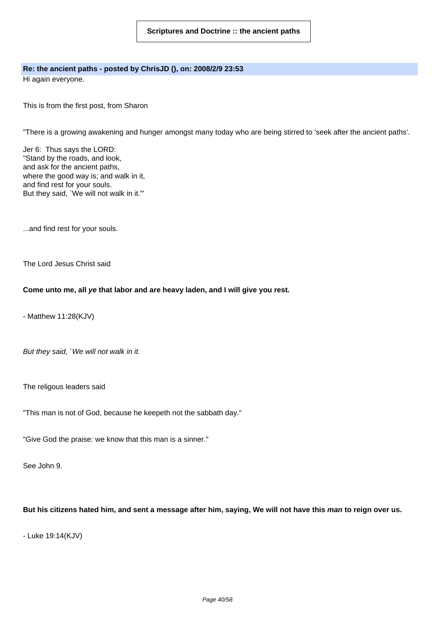# **Re: the ancient paths - posted by ChrisJD (), on: 2008/2/9 23:53**

Hi again everyone.

This is from the first post, from Sharon

"There is a growing awakening and hunger amongst many today who are being stirred to 'seek after the ancient paths'.

Jer 6: Thus says the LORD: "Stand by the roads, and look, and ask for the ancient paths, where the good way is; and walk in it, and find rest for your souls. But they said, `We will not walk in it.'"

...and find rest for your souls.

The Lord Jesus Christ said

#### **Come unto me, all ye that labor and are heavy laden, and I will give you rest.**

- Matthew 11:28(KJV)

But they said, `We will not walk in it.

The religous leaders said

"This man is not of God, because he keepeth not the sabbath day."

"Give God the praise: we know that this man is a sinner."

See John 9.

# But his citizens hated him, and sent a message after him, saying, We will not have this man to reign over us.

- Luke 19:14(KJV)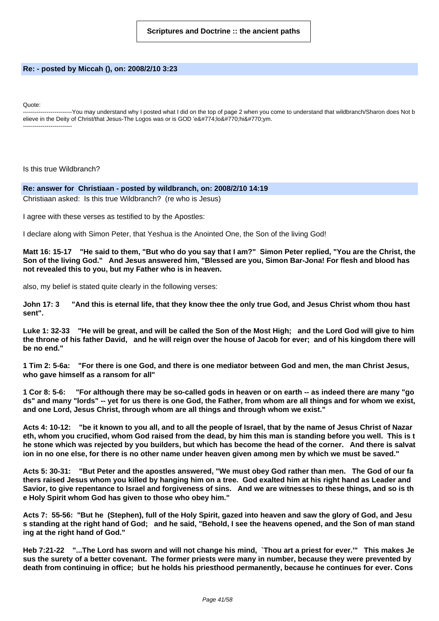#### **Re: - posted by Miccah (), on: 2008/2/10 3:23**

Quote:

-------------------------You may understand why I posted what I did on the top of page 2 when you come to understand that wildbranch/Sharon does Not b elieve in the Deity of Christ/that Jesus-The Logos was or is GOD 'ĕlôhîym. -------------------------

Is this true Wildbranch?

#### **Re: answer for Christiaan - posted by wildbranch, on: 2008/2/10 14:19**

Christiaan asked: Is this true Wildbranch? (re who is Jesus)

I agree with these verses as testified to by the Apostles:

I declare along with Simon Peter, that Yeshua is the Anointed One, the Son of the living God!

Matt 16: 15-17 "He said to them, "But who do you say that I am?" Simon Peter replied, "You are the Christ, the Son of the living God." And Jesus answered him, "Blessed are you, Simon Bar-Jona! For flesh and blood has **not revealed this to you, but my Father who is in heaven.**

also, my belief is stated quite clearly in the following verses:

John 17: 3 "And this is eternal life, that they know thee the only true God, and Jesus Christ whom thou hast **sent".**

Luke 1: 32-33 "He will be great, and will be called the Son of the Most High; and the Lord God will give to him the throne of his father David, and he will reign over the house of Jacob for ever; and of his kingdom there will **be no end."**

1 Tim 2: 5-6a: "For there is one God, and there is one mediator between God and men, the man Christ Jesus, **who gave himself as a ransom for all"**

1 Cor 8: 5-6: "For although there may be so-called gods in heaven or on earth -- as indeed there are many "go ds" and many "lords" -- yet for us there is one God, the Father, from whom are all things and for whom we exist, **and one Lord, Jesus Christ, through whom are all things and through whom we exist."**

Acts 4: 10-12: "be it known to you all, and to all the people of Israel, that by the name of Jesus Christ of Nazar eth, whom you crucified, whom God raised from the dead, by him this man is standing before you well. This is t he stone which was rejected by you builders, but which has become the head of the corner. And there is salvat ion in no one else, for there is no other name under heaven given among men by which we must be saved."

Acts 5: 30-31: "But Peter and the apostles answered, "We must obey God rather than men. The God of our fa thers raised Jesus whom you killed by hanging him on a tree. God exalted him at his right hand as Leader and Savior, to give repentance to Israel and forgiveness of sins. And we are witnesses to these things, and so is th **e Holy Spirit whom God has given to those who obey him."**

Acts 7: 55-56: "But he (Stephen), full of the Holy Spirit, gazed into heaven and saw the glory of God, and Jesu s standing at the right hand of God; and he said, "Behold, I see the heavens opened, and the Son of man stand **ing at the right hand of God."**

Heb 7:21-22 "...The Lord has sworn and will not change his mind, `Thou art a priest for ever.'" This makes Je sus the surety of a better covenant. The former priests were many in number, because they were prevented by death from continuing in office; but he holds his priesthood permanently, because he continues for ever. Cons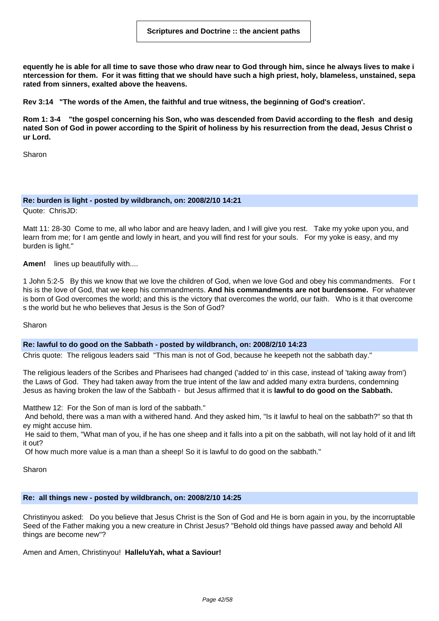equently he is able for all time to save those who draw near to God through him, since he always lives to make i ntercession for them. For it was fitting that we should have such a high priest, holy, blameless, unstained, sepa **rated from sinners, exalted above the heavens.**

**Rev 3:14 "The words of the Amen, the faithful and true witness, the beginning of God's creation'.**

Rom 1: 3-4 "the gospel concerning his Son, who was descended from David according to the flesh and desig nated Son of God in power according to the Spirit of holiness by his resurrection from the dead, Jesus Christ o **ur Lord.**

Sharon

#### **Re: burden is light - posted by wildbranch, on: 2008/2/10 14:21**

Quote: ChrisJD:

Matt 11: 28-30 Come to me, all who labor and are heavy laden, and I will give you rest. Take my yoke upon you, and learn from me; for I am gentle and lowly in heart, and you will find rest for your souls. For my yoke is easy, and my burden is light."

**Amen!** lines up beautifully with....

1 John 5:2-5 By this we know that we love the children of God, when we love God and obey his commandments. For t his is the love of God, that we keep his commandments. **And his commandments are not burdensome.** For whatever is born of God overcomes the world; and this is the victory that overcomes the world, our faith. Who is it that overcome s the world but he who believes that Jesus is the Son of God?

Sharon

#### **Re: lawful to do good on the Sabbath - posted by wildbranch, on: 2008/2/10 14:23**

Chris quote: The religous leaders said "This man is not of God, because he keepeth not the sabbath day."

The religious leaders of the Scribes and Pharisees had changed ('added to' in this case, instead of 'taking away from') the Laws of God. They had taken away from the true intent of the law and added many extra burdens, condemning Jesus as having broken the law of the Sabbath - but Jesus affirmed that it is **lawful to do good on the Sabbath.**

Matthew 12: For the Son of man is lord of the sabbath."

And behold, there was a man with a withered hand. And they asked him, "Is it lawful to heal on the sabbath?" so that th ey might accuse him.

He said to them, "What man of you, if he has one sheep and it falls into a pit on the sabbath, will not lay hold of it and lift it out?

Of how much more value is a man than a sheep! So it is lawful to do good on the sabbath."

Sharon

#### **Re: all things new - posted by wildbranch, on: 2008/2/10 14:25**

Christinyou asked: Do you believe that Jesus Christ is the Son of God and He is born again in you, by the incorruptable Seed of the Father making you a new creature in Christ Jesus? "Behold old things have passed away and behold All things are become new"?

Amen and Amen, Christinyou! **HalleluYah, what a Saviour!**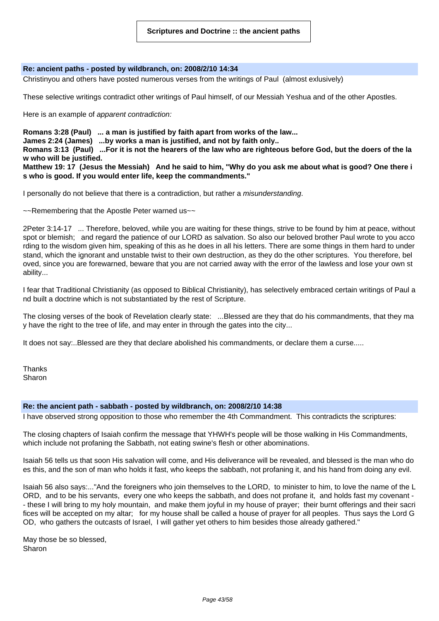#### **Re: ancient paths - posted by wildbranch, on: 2008/2/10 14:34**

Christinyou and others have posted numerous verses from the writings of Paul (almost exlusively)

These selective writings contradict other writings of Paul himself, of our Messiah Yeshua and of the other Apostles.

Here is an example of apparent contradiction:

**Romans 3:28 (Paul) ... a man is justified by faith apart from works of the law...**

**James 2:24 (James) ...by works a man is justified, and not by faith only..**

Romans 3:13 (Paul) ...For it is not the hearers of the law who are righteous before God, but the doers of the la **w who will be justified.**

Matthew 19: 17 (Jesus the Messiah) And he said to him, "Why do you ask me about what is good? One there i **s who is good. If you would enter life, keep the commandments."**

I personally do not believe that there is a contradiction, but rather a misunderstanding.

~~Remembering that the Apostle Peter warned us~~

2Peter 3:14-17 ... Therefore, beloved, while you are waiting for these things, strive to be found by him at peace, without spot or blemish; and regard the patience of our LORD as salvation. So also our beloved brother Paul wrote to you acco rding to the wisdom given him, speaking of this as he does in all his letters. There are some things in them hard to under stand, which the ignorant and unstable twist to their own destruction, as they do the other scriptures. You therefore, bel oved, since you are forewarned, beware that you are not carried away with the error of the lawless and lose your own st ability...

I fear that Traditional Christianity (as opposed to Biblical Christianity), has selectively embraced certain writings of Paul a nd built a doctrine which is not substantiated by the rest of Scripture.

The closing verses of the book of Revelation clearly state: ...Blessed are they that do his commandments, that they ma y have the right to the tree of life, and may enter in through the gates into the city...

It does not say:..Blessed are they that declare abolished his commandments, or declare them a curse.....

**Thanks** Sharon

#### **Re: the ancient path - sabbath - posted by wildbranch, on: 2008/2/10 14:38**

I have observed strong opposition to those who remember the 4th Commandment. This contradicts the scriptures:

The closing chapters of Isaiah confirm the message that YHWH's people will be those walking in His Commandments, which include not profaning the Sabbath, not eating swine's flesh or other abominations.

Isaiah 56 tells us that soon His salvation will come, and His deliverance will be revealed, and blessed is the man who do es this, and the son of man who holds it fast, who keeps the sabbath, not profaning it, and his hand from doing any evil.

Isaiah 56 also says:..."And the foreigners who join themselves to the LORD, to minister to him, to love the name of the L ORD, and to be his servants, every one who keeps the sabbath, and does not profane it, and holds fast my covenant - - these I will bring to my holy mountain, and make them joyful in my house of prayer; their burnt offerings and their sacri fices will be accepted on my altar; for my house shall be called a house of prayer for all peoples. Thus says the Lord G OD, who gathers the outcasts of Israel, I will gather yet others to him besides those already gathered."

May those be so blessed, Sharon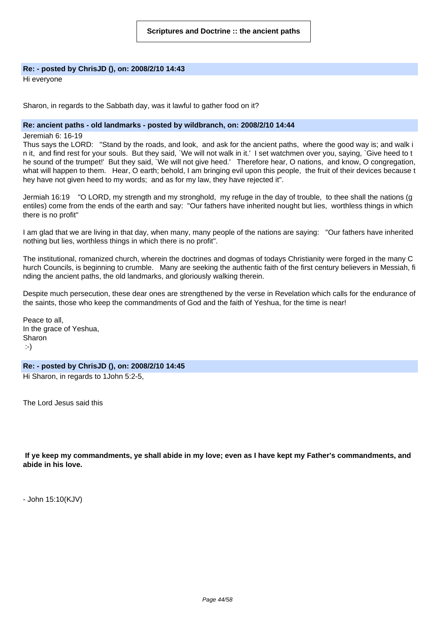# **Re: - posted by ChrisJD (), on: 2008/2/10 14:43**

Hi everyone

Sharon, in regards to the Sabbath day, was it lawful to gather food on it?

#### **Re: ancient paths - old landmarks - posted by wildbranch, on: 2008/2/10 14:44**

Jeremiah 6: 16-19

Thus says the LORD: "Stand by the roads, and look, and ask for the ancient paths, where the good way is; and walk i n it, and find rest for your souls. But they said, `We will not walk in it.' I set watchmen over you, saying, `Give heed to t he sound of the trumpet!' But they said, `We will not give heed.' Therefore hear, O nations, and know, O congregation, what will happen to them. Hear, O earth; behold, I am bringing evil upon this people, the fruit of their devices because t hey have not given heed to my words; and as for my law, they have rejected it".

Jermiah 16:19 "O LORD, my strength and my stronghold, my refuge in the day of trouble, to thee shall the nations (g entiles) come from the ends of the earth and say: "Our fathers have inherited nought but lies, worthless things in which there is no profit"

I am glad that we are living in that day, when many, many people of the nations are saying: "Our fathers have inherited nothing but lies, worthless things in which there is no profit".

The institutional, romanized church, wherein the doctrines and dogmas of todays Christianity were forged in the many C hurch Councils, is beginning to crumble. Many are seeking the authentic faith of the first century believers in Messiah, fi nding the ancient paths, the old landmarks, and gloriously walking therein.

Despite much persecution, these dear ones are strengthened by the verse in Revelation which calls for the endurance of the saints, those who keep the commandments of God and the faith of Yeshua, for the time is near!

Peace to all, In the grace of Yeshua, Sharon :-)

#### **Re: - posted by ChrisJD (), on: 2008/2/10 14:45**

Hi Sharon, in regards to 1John 5:2-5,

The Lord Jesus said this

If ye keep my commandments, ye shall abide in my love; even as I have kept my Father's commandments, and **abide in his love.**

- John 15:10(KJV)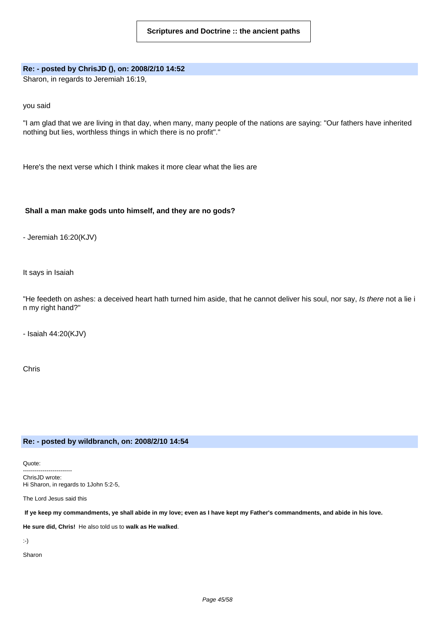# **Re: - posted by ChrisJD (), on: 2008/2/10 14:52**

Sharon, in regards to Jeremiah 16:19,

you said

"I am glad that we are living in that day, when many, many people of the nations are saying: "Our fathers have inherited nothing but lies, worthless things in which there is no profit"."

Here's the next verse which I think makes it more clear what the lies are

# **Shall a man make gods unto himself, and they are no gods?**

- Jeremiah 16:20(KJV)

It says in Isaiah

"He feedeth on ashes: a deceived heart hath turned him aside, that he cannot deliver his soul, nor say, Is there not a lie i n my right hand?"

- Isaiah 44:20(KJV)

Chris

#### **Re: - posted by wildbranch, on: 2008/2/10 14:54**

Quote: ------------------------- ChrisJD wrote: Hi Sharon, in regards to 1John 5:2-5,

The Lord Jesus said this

If ye keep my commandments, ye shall abide in my love; even as I have kept my Father's commandments, and abide in his love.

**He sure did, Chris!** He also told us to **walk as He walked**.

:-)

Sharon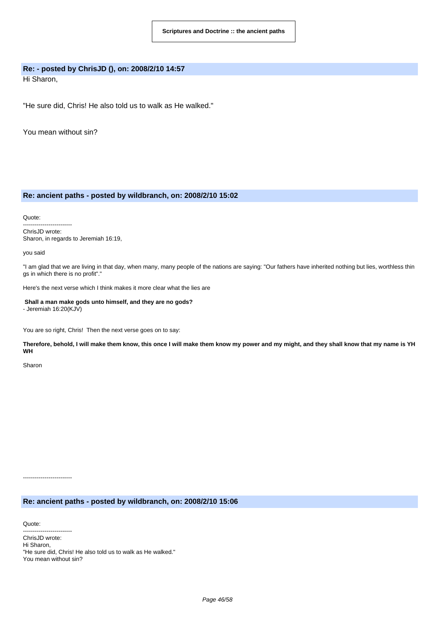#### **Re: - posted by ChrisJD (), on: 2008/2/10 14:57**

Hi Sharon,

"He sure did, Chris! He also told us to walk as He walked."

You mean without sin?

#### **Re: ancient paths - posted by wildbranch, on: 2008/2/10 15:02**

Quote:

------------------------- ChrisJD wrote: Sharon, in regards to Jeremiah 16:19,

you said

"I am glad that we are living in that day, when many, many people of the nations are saying: "Our fathers have inherited nothing but lies, worthless thin gs in which there is no profit"."

Here's the next verse which I think makes it more clear what the lies are

**Shall a man make gods unto himself, and they are no gods?** - Jeremiah 16:20(KJV)

You are so right, Chris! Then the next verse goes on to say:

Therefore, behold, I will make them know, this once I will make them know my power and my might, and they shall know that my name is YH **WH**

Sharon

**Re: ancient paths - posted by wildbranch, on: 2008/2/10 15:06**

Quote:

-------------------------

------------------------- ChrisJD wrote: Hi Sharon, "He sure did, Chris! He also told us to walk as He walked." You mean without sin?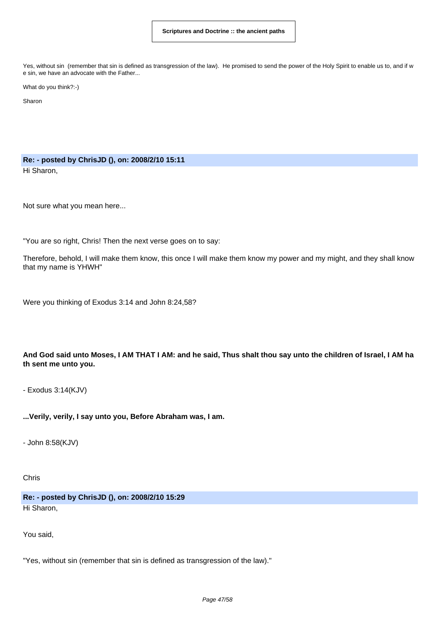Yes, without sin (remember that sin is defined as transgression of the law). He promised to send the power of the Holy Spirit to enable us to, and if w e sin, we have an advocate with the Father...

What do you think?:-)

Sharon

**Re: - posted by ChrisJD (), on: 2008/2/10 15:11** Hi Sharon,

Not sure what you mean here...

"You are so right, Chris! Then the next verse goes on to say:

Therefore, behold, I will make them know, this once I will make them know my power and my might, and they shall know that my name is YHWH"

Were you thinking of Exodus 3:14 and John 8:24,58?

And God said unto Moses, I AM THAT I AM: and he said, Thus shalt thou say unto the children of Israel, I AM ha **th sent me unto you.**

- Exodus 3:14(KJV)

**...Verily, verily, I say unto you, Before Abraham was, I am.**

- John 8:58(KJV)

Chris

**Re: - posted by ChrisJD (), on: 2008/2/10 15:29** Hi Sharon,

You said,

"Yes, without sin (remember that sin is defined as transgression of the law)."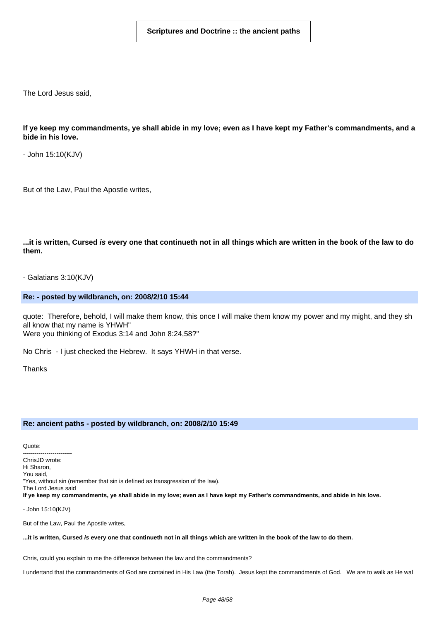The Lord Jesus said,

If ye keep my commandments, ye shall abide in my love; even as I have kept my Father's commandments, and a **bide in his love.**

- John 15:10(KJV)

But of the Law, Paul the Apostle writes,

...it is written, Cursed is every one that continueth not in all things which are written in the book of the law to do **them.**

- Galatians 3:10(KJV)

**Re: - posted by wildbranch, on: 2008/2/10 15:44**

quote: Therefore, behold, I will make them know, this once I will make them know my power and my might, and they sh all know that my name is YHWH" Were you thinking of Exodus 3:14 and John 8:24,58?"

No Chris - I just checked the Hebrew. It says YHWH in that verse.

**Thanks** 

#### **Re: ancient paths - posted by wildbranch, on: 2008/2/10 15:49**

Quote:

------------------------- Chris.ID wrote: Hi Sharon, You said, "Yes, without sin (remember that sin is defined as transgression of the law). The Lord Jesus said If ye keep my commandments, ye shall abide in my love; even as I have kept my Father's commandments, and abide in his love.

- John 15:10(KJV)

But of the Law, Paul the Apostle writes,

...it is written, Cursed is every one that continueth not in all things which are written in the book of the law to do them.

Chris, could you explain to me the difference between the law and the commandments?

I undertand that the commandments of God are contained in His Law (the Torah). Jesus kept the commandments of God. We are to walk as He wal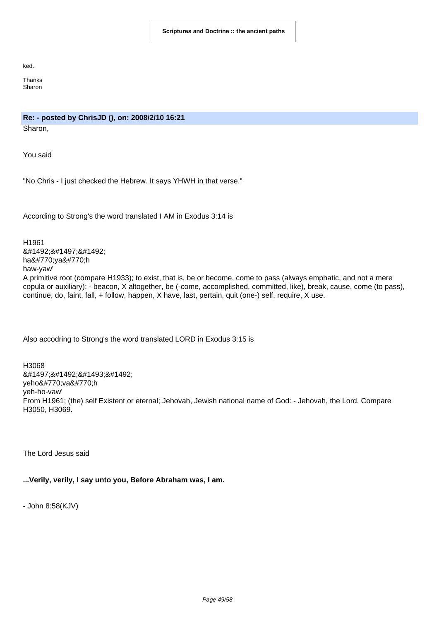ked.

**Thanks** Sharon

# **Re: - posted by ChrisJD (), on: 2008/2/10 16:21**

Sharon,

You said

"No Chris - I just checked the Hebrew. It says YHWH in that verse."

According to Strong's the word translated I AM in Exodus 3:14 is

H1961 היה hâyâh haw-yaw' A primitive root (compare H1933); to exist, that is, be or become, come to pass (always emphatic, and not a mere copula or auxiliary): - beacon, X altogether, be (-come, accomplished, committed, like), break, cause, come (to pass), continue, do, faint, fall, + follow, happen, X have, last, pertain, quit (one-) self, require, X use.

Also accodring to Strong's the word translated LORD in Exodus 3:15 is

H3068 יהוה yehôvâh yeh-ho-vaw' From H1961; (the) self Existent or eternal; Jehovah, Jewish national name of God: - Jehovah, the Lord. Compare H3050, H3069.

The Lord Jesus said

# **...Verily, verily, I say unto you, Before Abraham was, I am.**

- John 8:58(KJV)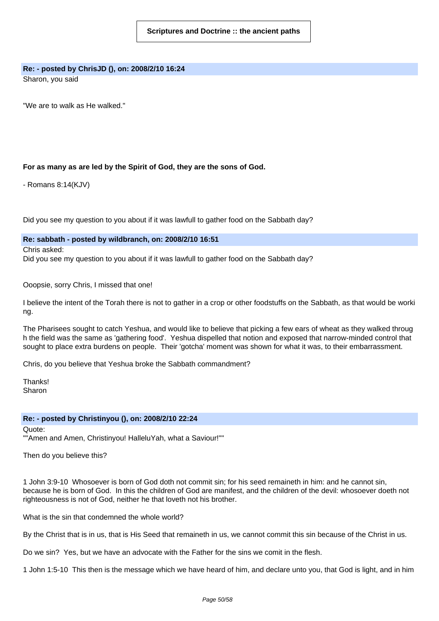# **Re: - posted by ChrisJD (), on: 2008/2/10 16:24**

Sharon, you said

"We are to walk as He walked."

# **For as many as are led by the Spirit of God, they are the sons of God.**

- Romans 8:14(KJV)

Did you see my question to you about if it was lawfull to gather food on the Sabbath day?

**Re: sabbath - posted by wildbranch, on: 2008/2/10 16:51**

Chris asked:

Did you see my question to you about if it was lawfull to gather food on the Sabbath day?

Ooopsie, sorry Chris, I missed that one!

I believe the intent of the Torah there is not to gather in a crop or other foodstuffs on the Sabbath, as that would be worki ng.

The Pharisees sought to catch Yeshua, and would like to believe that picking a few ears of wheat as they walked throug h the field was the same as 'gathering food'. Yeshua dispelled that notion and exposed that narrow-minded control that sought to place extra burdens on people. Their 'gotcha' moment was shown for what it was, to their embarrassment.

Chris, do you believe that Yeshua broke the Sabbath commandment?

**Thanks!** Sharon

#### **Re: - posted by Christinyou (), on: 2008/2/10 22:24**

Quote: ""Amen and Amen, Christinyou! HalleluYah, what a Saviour!""

Then do you believe this?

1 John 3:9-10 Whosoever is born of God doth not commit sin; for his seed remaineth in him: and he cannot sin, because he is born of God. In this the children of God are manifest, and the children of the devil: whosoever doeth not righteousness is not of God, neither he that loveth not his brother.

What is the sin that condemned the whole world?

By the Christ that is in us, that is His Seed that remaineth in us, we cannot commit this sin because of the Christ in us.

Do we sin? Yes, but we have an advocate with the Father for the sins we comit in the flesh.

1 John 1:5-10 This then is the message which we have heard of him, and declare unto you, that God is light, and in him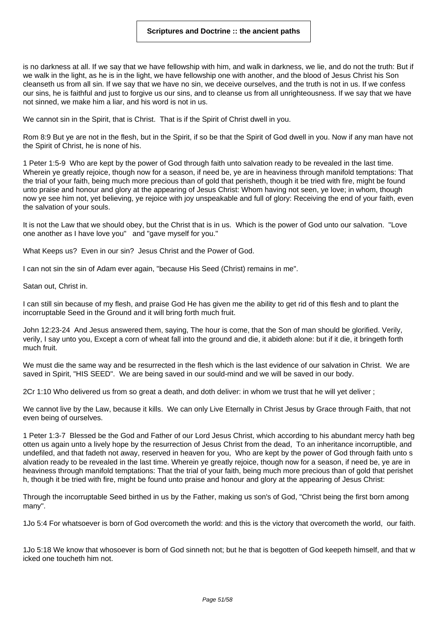is no darkness at all. If we say that we have fellowship with him, and walk in darkness, we lie, and do not the truth: But if we walk in the light, as he is in the light, we have fellowship one with another, and the blood of Jesus Christ his Son cleanseth us from all sin. If we say that we have no sin, we deceive ourselves, and the truth is not in us. If we confess our sins, he is faithful and just to forgive us our sins, and to cleanse us from all unrighteousness. If we say that we have not sinned, we make him a liar, and his word is not in us.

We cannot sin in the Spirit, that is Christ. That is if the Spirit of Christ dwell in you.

Rom 8:9 But ye are not in the flesh, but in the Spirit, if so be that the Spirit of God dwell in you. Now if any man have not the Spirit of Christ, he is none of his.

1 Peter 1:5-9 Who are kept by the power of God through faith unto salvation ready to be revealed in the last time. Wherein ye greatly rejoice, though now for a season, if need be, ye are in heaviness through manifold temptations: That the trial of your faith, being much more precious than of gold that perisheth, though it be tried with fire, might be found unto praise and honour and glory at the appearing of Jesus Christ: Whom having not seen, ye love; in whom, though now ye see him not, yet believing, ye rejoice with joy unspeakable and full of glory: Receiving the end of your faith, even the salvation of your souls.

It is not the Law that we should obey, but the Christ that is in us. Which is the power of God unto our salvation. "Love one another as I have love you" and "gave myself for you."

What Keeps us? Even in our sin? Jesus Christ and the Power of God.

I can not sin the sin of Adam ever again, "because His Seed (Christ) remains in me".

Satan out, Christ in.

I can still sin because of my flesh, and praise God He has given me the ability to get rid of this flesh and to plant the incorruptable Seed in the Ground and it will bring forth much fruit.

John 12:23-24 And Jesus answered them, saying, The hour is come, that the Son of man should be glorified. Verily, verily, I say unto you, Except a corn of wheat fall into the ground and die, it abideth alone: but if it die, it bringeth forth much fruit.

We must die the same way and be resurrected in the flesh which is the last evidence of our salvation in Christ. We are saved in Spirit, "HIS SEED". We are being saved in our sould-mind and we will be saved in our body.

2Cr 1:10 Who delivered us from so great a death, and doth deliver: in whom we trust that he will yet deliver ;

We cannot live by the Law, because it kills. We can only Live Eternally in Christ Jesus by Grace through Faith, that not even being of ourselves.

1 Peter 1:3-7 Blessed be the God and Father of our Lord Jesus Christ, which according to his abundant mercy hath beg otten us again unto a lively hope by the resurrection of Jesus Christ from the dead, To an inheritance incorruptible, and undefiled, and that fadeth not away, reserved in heaven for you, Who are kept by the power of God through faith unto s alvation ready to be revealed in the last time. Wherein ye greatly rejoice, though now for a season, if need be, ye are in heaviness through manifold temptations: That the trial of your faith, being much more precious than of gold that perishet h, though it be tried with fire, might be found unto praise and honour and glory at the appearing of Jesus Christ:

Through the incorruptable Seed birthed in us by the Father, making us son's of God, "Christ being the first born among many".

1Jo 5:4 For whatsoever is born of God overcometh the world: and this is the victory that overcometh the world, our faith.

1Jo 5:18 We know that whosoever is born of God sinneth not; but he that is begotten of God keepeth himself, and that w icked one toucheth him not.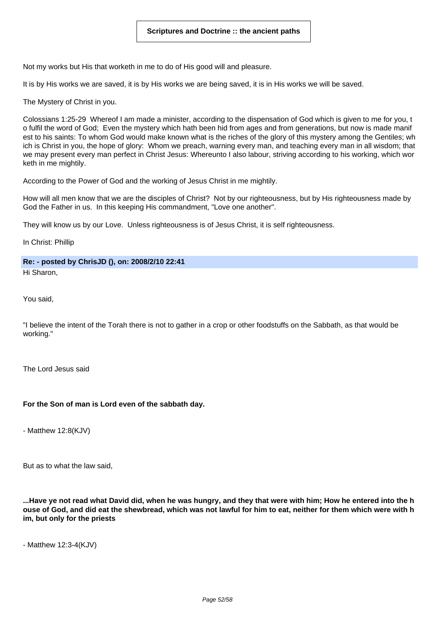Not my works but His that worketh in me to do of His good will and pleasure.

It is by His works we are saved, it is by His works we are being saved, it is in His works we will be saved.

The Mystery of Christ in you.

Colossians 1:25-29 Whereof I am made a minister, according to the dispensation of God which is given to me for you, t o fulfil the word of God; Even the mystery which hath been hid from ages and from generations, but now is made manif est to his saints: To whom God would make known what is the riches of the glory of this mystery among the Gentiles; wh ich is Christ in you, the hope of glory: Whom we preach, warning every man, and teaching every man in all wisdom; that we may present every man perfect in Christ Jesus: Whereunto I also labour, striving according to his working, which wor keth in me mightily.

According to the Power of God and the working of Jesus Christ in me mightily.

How will all men know that we are the disciples of Christ? Not by our righteousness, but by His righteousness made by God the Father in us. In this keeping His commandment, "Love one another".

They will know us by our Love. Unless righteousness is of Jesus Christ, it is self righteousness.

In Christ: Phillip

**Re: - posted by ChrisJD (), on: 2008/2/10 22:41**

Hi Sharon,

You said,

"I believe the intent of the Torah there is not to gather in a crop or other foodstuffs on the Sabbath, as that would be working."

The Lord Jesus said

# **For the Son of man is Lord even of the sabbath day.**

- Matthew 12:8(KJV)

But as to what the law said,

...Have ve not read what David did, when he was hungry, and they that were with him: How he entered into the h ouse of God, and did eat the shewbread, which was not lawful for him to eat, neither for them which were with h **im, but only for the priests**

- Matthew 12:3-4(KJV)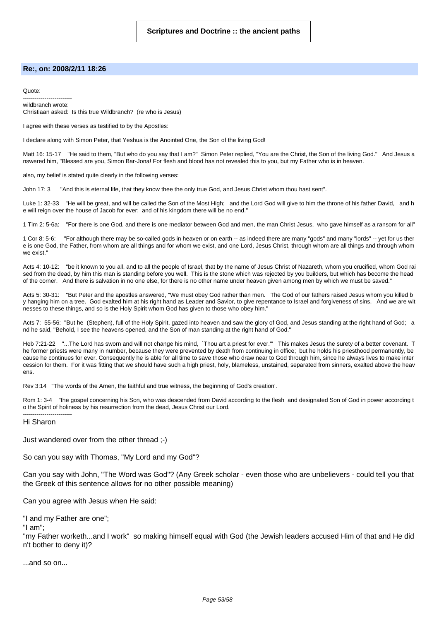#### **Re:, on: 2008/2/11 18:26**

Quote:

------------------------ wildbranch wrote: Christiaan asked: Is this true Wildbranch? (re who is Jesus)

I agree with these verses as testified to by the Apostles:

I declare along with Simon Peter, that Yeshua is the Anointed One, the Son of the living God!

Matt 16: 15-17 "He said to them, "But who do you say that I am?" Simon Peter replied, "You are the Christ, the Son of the living God." And Jesus a nswered him, "Blessed are you, Simon Bar-Jona! For flesh and blood has not revealed this to you, but my Father who is in heaven.

also, my belief is stated quite clearly in the following verses:

John 17: 3 "And this is eternal life, that they know thee the only true God, and Jesus Christ whom thou hast sent".

Luke 1: 32-33 "He will be great, and will be called the Son of the Most High; and the Lord God will give to him the throne of his father David, and h e will reign over the house of Jacob for ever; and of his kingdom there will be no end."

1 Tim 2: 5-6a: "For there is one God, and there is one mediator between God and men, the man Christ Jesus, who gave himself as a ransom for all"

1 Cor 8: 5-6: "For although there may be so-called gods in heaven or on earth -- as indeed there are many "gods" and many "lords" -- yet for us ther e is one God, the Father, from whom are all things and for whom we exist, and one Lord, Jesus Christ, through whom are all things and through whom we exist."

Acts 4: 10-12: "be it known to you all, and to all the people of Israel, that by the name of Jesus Christ of Nazareth, whom you crucified, whom God rai sed from the dead, by him this man is standing before you well. This is the stone which was rejected by you builders, but which has become the head of the corner. And there is salvation in no one else, for there is no other name under heaven given among men by which we must be saved."

Acts 5: 30-31: "But Peter and the apostles answered, "We must obey God rather than men. The God of our fathers raised Jesus whom you killed b y hanging him on a tree. God exalted him at his right hand as Leader and Savior, to give repentance to Israel and forgiveness of sins. And we are wit nesses to these things, and so is the Holy Spirit whom God has given to those who obey him."

Acts 7: 55-56: "But he (Stephen), full of the Holy Spirit, gazed into heaven and saw the glory of God, and Jesus standing at the right hand of God; a nd he said, "Behold, I see the heavens opened, and the Son of man standing at the right hand of God."

Heb 7:21-22 "...The Lord has sworn and will not change his mind, `Thou art a priest for ever.'" This makes Jesus the surety of a better covenant. T he former priests were many in number, because they were prevented by death from continuing in office; but he holds his priesthood permanently, be cause he continues for ever. Consequently he is able for all time to save those who draw near to God through him, since he always lives to make inter cession for them. For it was fitting that we should have such a high priest, holy, blameless, unstained, separated from sinners, exalted above the heav ens.

Rev 3:14 "The words of the Amen, the faithful and true witness, the beginning of God's creation'.

Rom 1: 3-4 "the gospel concerning his Son, who was descended from David according to the flesh and designated Son of God in power according t o the Spirit of holiness by his resurrection from the dead, Jesus Christ our Lord.

------------------------- Hi Sharon

Just wandered over from the other thread ;-)

So can you say with Thomas, "My Lord and my God"?

Can you say with John, "The Word was God"? (Any Greek scholar - even those who are unbelievers - could tell you that the Greek of this sentence allows for no other possible meaning)

Can you agree with Jesus when He said:

"I and my Father are one";

"I am";

"my Father worketh...and I work" so making himself equal with God (the Jewish leaders accused Him of that and He did n't bother to deny it)?

...and so on...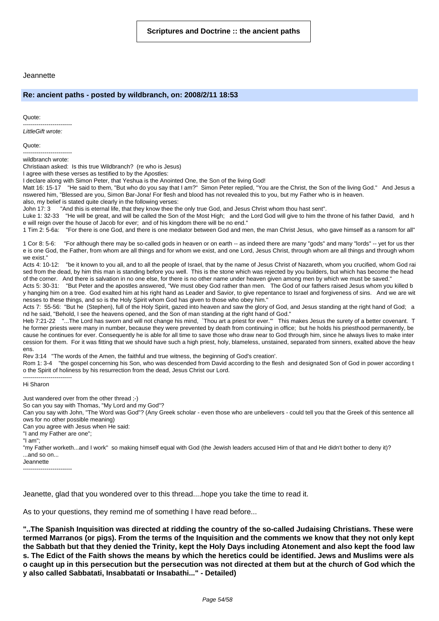#### Jeannette

#### **Re: ancient paths - posted by wildbranch, on: 2008/2/11 18:53**

Quote:

------------------------- LittleGift wrote:

Quote:

------------------------ wildbranch wrote:

Christiaan asked: Is this true Wildbranch? (re who is Jesus)

I agree with these verses as testified to by the Apostles:

I declare along with Simon Peter, that Yeshua is the Anointed One, the Son of the living God!

Matt 16: 15-17 "He said to them, "But who do you say that I am?" Simon Peter replied, "You are the Christ, the Son of the living God." And Jesus a nswered him, "Blessed are you, Simon Bar-Jona! For flesh and blood has not revealed this to you, but my Father who is in heaven. also, my belief is stated quite clearly in the following verses:

John 17: 3 "And this is eternal life, that they know thee the only true God, and Jesus Christ whom thou hast sent".

Luke 1: 32-33 "He will be great, and will be called the Son of the Most High; and the Lord God will give to him the throne of his father David, and h e will reign over the house of Jacob for ever; and of his kingdom there will be no end."

1 Tim 2: 5-6a: "For there is one God, and there is one mediator between God and men, the man Christ Jesus, who gave himself as a ransom for all"

1 Cor 8: 5-6: "For although there may be so-called gods in heaven or on earth -- as indeed there are many "gods" and many "lords" -- yet for us ther e is one God, the Father, from whom are all things and for whom we exist, and one Lord, Jesus Christ, through whom are all things and through whom we exist."

Acts 4: 10-12: "be it known to you all, and to all the people of Israel, that by the name of Jesus Christ of Nazareth, whom you crucified, whom God rai sed from the dead, by him this man is standing before you well. This is the stone which was rejected by you builders, but which has become the head of the corner. And there is salvation in no one else, for there is no other name under heaven given among men by which we must be saved."

Acts 5: 30-31: "But Peter and the apostles answered, "We must obey God rather than men. The God of our fathers raised Jesus whom you killed b y hanging him on a tree. God exalted him at his right hand as Leader and Savior, to give repentance to Israel and forgiveness of sins. And we are wit nesses to these things, and so is the Holy Spirit whom God has given to those who obey him."

Acts 7: 55-56: "But he (Stephen), full of the Holy Spirit, gazed into heaven and saw the glory of God, and Jesus standing at the right hand of God; a nd he said, "Behold, I see the heavens opened, and the Son of man standing at the right hand of God."

Heb 7:21-22 "...The Lord has sworn and will not change his mind, `Thou art a priest for ever.'" This makes Jesus the surety of a better covenant. T he former priests were many in number, because they were prevented by death from continuing in office; but he holds his priesthood permanently, be cause he continues for ever. Consequently he is able for all time to save those who draw near to God through him, since he always lives to make inter cession for them. For it was fitting that we should have such a high priest, holy, blameless, unstained, separated from sinners, exalted above the heav ens.

Rev 3:14 "The words of the Amen, the faithful and true witness, the beginning of God's creation'.

Rom 1: 3-4 "the gospel concerning his Son, who was descended from David according to the flesh and designated Son of God in power according t o the Spirit of holiness by his resurrection from the dead, Jesus Christ our Lord.

------------------------- Hi Sharon

Just wandered over from the other thread ;-)

So can you say with Thomas, "My Lord and my God"?

Can you say with John, "The Word was God"? (Any Greek scholar - even those who are unbelievers - could tell you that the Greek of this sentence all ows for no other possible meaning)

Can you agree with Jesus when He said:

"I and my Father are one";

"I am";

"my Father worketh...and I work" so making himself equal with God (the Jewish leaders accused Him of that and He didn't bother to deny it)? ...and so on...

**Jeannette** -------------------------

Jeanette, glad that you wondered over to this thread....hope you take the time to read it.

As to your questions, they remind me of something I have read before...

**"..The Spanish Inquisition was directed at ridding the country of the so-called Judaising Christians. These were** termed Marranos (or pigs). From the terms of the Inquisition and the comments we know that they not only kept the Sabbath but that they denied the Trinity, kept the Holy Days including Atonement and also kept the food law s. The Edict of the Faith shows the means by which the heretics could be identified. Jews and Muslims were als o caught up in this persecution but the persecution was not directed at them but at the church of God which the **y also called Sabbatati, Insabbatati or Insabathi..." - Detailed)**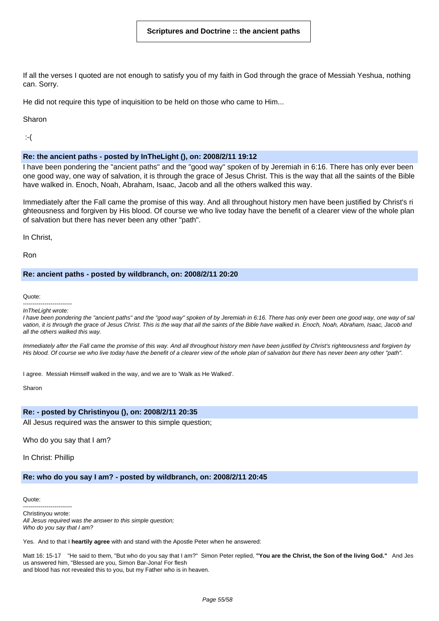If all the verses I quoted are not enough to satisfy you of my faith in God through the grace of Messiah Yeshua, nothing can. Sorry.

He did not require this type of inquisition to be held on those who came to Him...

Sharon

:-(

# **Re: the ancient paths - posted by InTheLight (), on: 2008/2/11 19:12**

I have been pondering the "ancient paths" and the "good way" spoken of by Jeremiah in 6:16. There has only ever been one good way, one way of salvation, it is through the grace of Jesus Christ. This is the way that all the saints of the Bible have walked in. Enoch, Noah, Abraham, Isaac, Jacob and all the others walked this way.

Immediately after the Fall came the promise of this way. And all throughout history men have been justified by Christ's ri ghteousness and forgiven by His blood. Of course we who live today have the benefit of a clearer view of the whole plan of salvation but there has never been any other "path".

In Christ,

Ron

#### **Re: ancient paths - posted by wildbranch, on: 2008/2/11 20:20**

Quote:

-------------------------

InTheLight wrote: I have been pondering the "ancient paths" and the "good way" spoken of by Jeremiah in 6:16. There has only ever been one good way, one way of sal vation, it is through the grace of Jesus Christ. This is the way that all the saints of the Bible have walked in. Enoch, Noah, Abraham, Isaac, Jacob and

all the others walked this way.

Immediately after the Fall came the promise of this way. And all throughout history men have been justified by Christ's righteousness and forgiven by His blood. Of course we who live today have the benefit of a clearer view of the whole plan of salvation but there has never been any other "path".

I agree. Messiah Himself walked in the way, and we are to 'Walk as He Walked'.

Sharon

#### **Re: - posted by Christinyou (), on: 2008/2/11 20:35**

All Jesus required was the answer to this simple question;

Who do you say that I am?

In Christ: Phillip

# **Re: who do you say I am? - posted by wildbranch, on: 2008/2/11 20:45**

Quote:

------------------------- Christinyou wrote: All Jesus required was the answer to this simple question; Who do you say that I am?

Yes. And to that I **heartily agree** with and stand with the Apostle Peter when he answered:

Matt 16: 15-17 "He said to them, "But who do you say that I am?" Simon Peter replied, **"You are the Christ, the Son of the living God."** And Jes us answered him, "Blessed are you, Simon Bar-Jona! For flesh and blood has not revealed this to you, but my Father who is in heaven.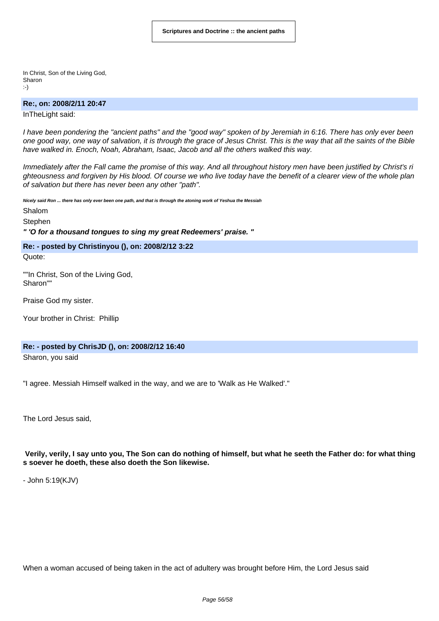In Christ, Son of the Living God, Sharon :-)

#### **Re:, on: 2008/2/11 20:47**

InTheLight said:

I have been pondering the "ancient paths" and the "good way" spoken of by Jeremiah in 6:16. There has only ever been one good way, one way of salvation, it is through the grace of Jesus Christ. This is the way that all the saints of the Bible have walked in. Enoch, Noah, Abraham, Isaac, Jacob and all the others walked this way.

Immediately after the Fall came the promise of this way. And all throughout history men have been justified by Christ's ri ghteousness and forgiven by His blood. Of course we who live today have the benefit of a clearer view of the whole plan of salvation but there has never been any other "path".

Nicely said Ron ... there has only ever been one path, and that is through the atoning work of Yeshua the Messiah

Shalom

**Stephen** 

**" 'O for a thousand tongues to sing my great Redeemers' praise. "**

**Re: - posted by Christinyou (), on: 2008/2/12 3:22** Quote:

""In Christ, Son of the Living God, Sharon""

Praise God my sister.

Your brother in Christ: Phillip

#### **Re: - posted by ChrisJD (), on: 2008/2/12 16:40**

Sharon, you said

"I agree. Messiah Himself walked in the way, and we are to 'Walk as He Walked'."

The Lord Jesus said,

Verily, verily, I say unto you, The Son can do nothing of himself, but what he seeth the Father do: for what thing **s soever he doeth, these also doeth the Son likewise.**

- John 5:19(KJV)

When a woman accused of being taken in the act of adultery was brought before Him, the Lord Jesus said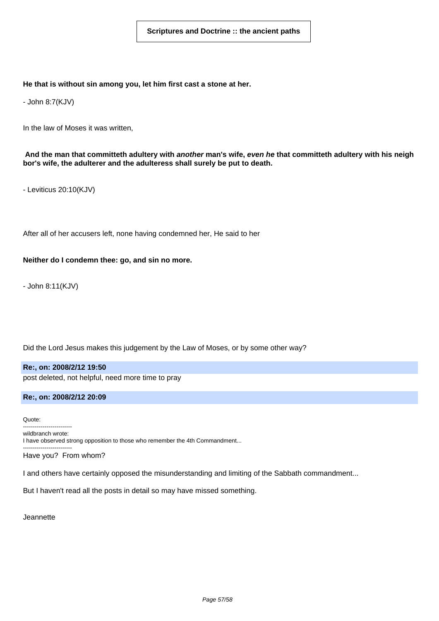#### **He that is without sin among you, let him first cast a stone at her.**

- John 8:7(KJV)

In the law of Moses it was written,

And the man that committeth adultery with another man's wife, even he that committeth adultery with his neigh **bor's wife, the adulterer and the adulteress shall surely be put to death.**

- Leviticus 20:10(KJV)

After all of her accusers left, none having condemned her, He said to her

#### **Neither do I condemn thee: go, and sin no more.**

- John 8:11(KJV)

Did the Lord Jesus makes this judgement by the Law of Moses, or by some other way?

**Re:, on: 2008/2/12 19:50** post deleted, not helpful, need more time to pray

#### **Re:, on: 2008/2/12 20:09**

Quote: ------------------------ wildbranch wrote: I have observed strong opposition to those who remember the 4th Commandment... -------------------------

Have you? From whom?

I and others have certainly opposed the misunderstanding and limiting of the Sabbath commandment...

But I haven't read all the posts in detail so may have missed something.

**Jeannette**